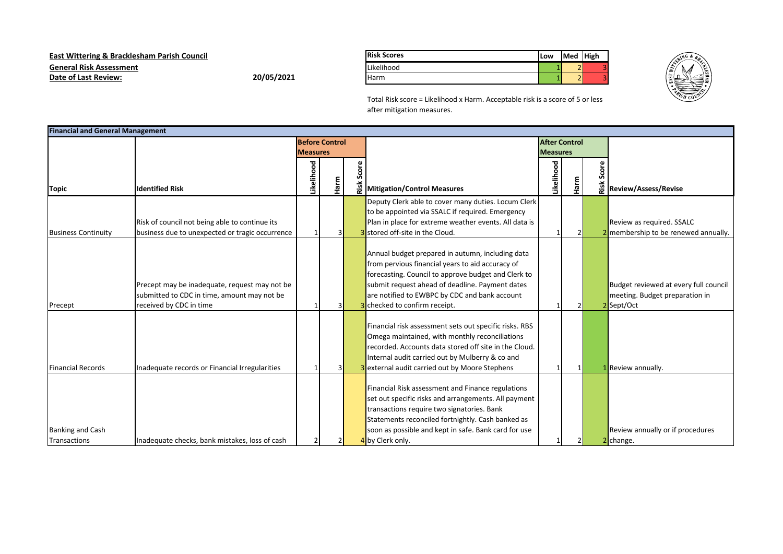| <b>Risk Scores</b> | Low | Med                           | <b>High</b>    |
|--------------------|-----|-------------------------------|----------------|
| Likelihood         |     | -<br>-                        | $\overline{3}$ |
| Harm               |     | $\overline{\phantom{a}}$<br>- | $\overline{3}$ |



Total Risk score = Likelihood x Harm. Acceptable risk is a score of 5 or less after mitigation measures.

| <b>Financial and General Management</b> |                                                                                                                         |                 |                       |            |                                                                                                                                                                                                                                                                                                  |                 |                      |            |                                                                                       |
|-----------------------------------------|-------------------------------------------------------------------------------------------------------------------------|-----------------|-----------------------|------------|--------------------------------------------------------------------------------------------------------------------------------------------------------------------------------------------------------------------------------------------------------------------------------------------------|-----------------|----------------------|------------|---------------------------------------------------------------------------------------|
|                                         |                                                                                                                         |                 | <b>Before Control</b> |            |                                                                                                                                                                                                                                                                                                  |                 | <b>After Control</b> |            |                                                                                       |
|                                         |                                                                                                                         | <b>Measures</b> |                       |            |                                                                                                                                                                                                                                                                                                  | <b>Measures</b> |                      |            |                                                                                       |
| <b>Topic</b>                            | <b>Identified Risk</b>                                                                                                  | Likelihood      | Harm                  | Score<br>盈 | Mitigation/Control Measures                                                                                                                                                                                                                                                                      | Likelihood      |                      | Score<br>Ξ | <b>Review/Assess/Revise</b>                                                           |
| <b>Business Continuity</b>              | Risk of council not being able to continue its<br>business due to unexpected or tragic occurrence                       |                 |                       |            | Deputy Clerk able to cover many duties. Locum Clerk<br>to be appointed via SSALC if required. Emergency<br>Plan in place for extreme weather events. All data is<br>3 stored off-site in the Cloud.                                                                                              |                 |                      |            | Review as required. SSALC<br>2 membership to be renewed annually.                     |
| Precept                                 | Precept may be inadequate, request may not be<br>submitted to CDC in time, amount may not be<br>received by CDC in time |                 |                       |            | Annual budget prepared in autumn, including data<br>from pervious financial years to aid accuracy of<br>forecasting. Council to approve budget and Clerk to<br>submit request ahead of deadline. Payment dates<br>are notified to EWBPC by CDC and bank account<br>3 checked to confirm receipt. |                 |                      |            | Budget reviewed at every full council<br>meeting. Budget preparation in<br>2 Sept/Oct |
| <b>Financial Records</b>                | Inadequate records or Financial Irregularities                                                                          |                 |                       |            | Financial risk assessment sets out specific risks. RBS<br>Omega maintained, with monthly reconciliations<br>recorded. Accounts data stored off site in the Cloud.<br>Internal audit carried out by Mulberry & co and<br>3 external audit carried out by Moore Stephens                           |                 |                      |            | 1 Review annually.                                                                    |
| <b>Banking and Cash</b><br>Transactions | Inadequate checks, bank mistakes, loss of cash                                                                          |                 |                       |            | Financial Risk assessment and Finance regulations<br>set out specific risks and arrangements. All payment<br>transactions require two signatories. Bank<br>Statements reconciled fortnightly. Cash banked as<br>soon as possible and kept in safe. Bank card for use<br>4 by Clerk only.         |                 | 1                    |            | Review annually or if procedures<br>2 change.                                         |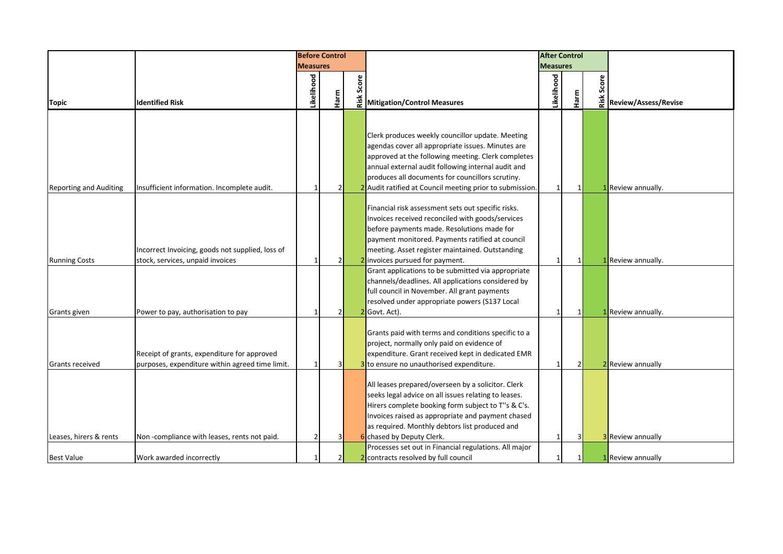|                               |                                                                                                | <b>Measures</b> | <b>Before Control</b> |               |                                                                                                                                                                                                                                                                                                                                 | <b>After Control</b><br><b>Measures</b> |      |               |                             |
|-------------------------------|------------------------------------------------------------------------------------------------|-----------------|-----------------------|---------------|---------------------------------------------------------------------------------------------------------------------------------------------------------------------------------------------------------------------------------------------------------------------------------------------------------------------------------|-----------------------------------------|------|---------------|-----------------------------|
| <b>Topic</b>                  | <b>Identified Risk</b>                                                                         | Likelihood      | Harm                  | Score<br>Risk | Mitigation/Control Measures                                                                                                                                                                                                                                                                                                     | Likelihood                              | Harm | Score<br>Risk | <b>Review/Assess/Revise</b> |
| <b>Reporting and Auditing</b> | Insufficient information. Incomplete audit.                                                    |                 |                       |               | Clerk produces weekly councillor update. Meeting<br>agendas cover all appropriate issues. Minutes are<br>approved at the following meeting. Clerk completes<br>annual external audit following internal audit and<br>produces all documents for councillors scrutiny.<br>Audit ratified at Council meeting prior to submission. | 1                                       |      |               | 1 Review annually.          |
| <b>Running Costs</b>          | Incorrect Invoicing, goods not supplied, loss of<br>stock, services, unpaid invoices           |                 |                       |               | Financial risk assessment sets out specific risks.<br>Invoices received reconciled with goods/services<br>before payments made. Resolutions made for<br>payment monitored. Payments ratified at council<br>meeting. Asset register maintained. Outstanding<br>invoices pursued for payment.                                     | $\mathbf{1}$                            |      |               | 1 Review annually.          |
| Grants given                  | Power to pay, authorisation to pay                                                             |                 |                       |               | Grant applications to be submitted via appropriate<br>channels/deadlines. All applications considered by<br>full council in November. All grant payments<br>resolved under appropriate powers (S137 Local<br>Govt. Act).                                                                                                        | $\mathbf{1}$                            |      |               | 1 Review annually.          |
| Grants received               | Receipt of grants, expenditure for approved<br>purposes, expenditure within agreed time limit. |                 |                       |               | Grants paid with terms and conditions specific to a<br>project, normally only paid on evidence of<br>expenditure. Grant received kept in dedicated EMR<br>to ensure no unauthorised expenditure.                                                                                                                                | $\mathbf{1}$                            |      |               | 2 Review annually           |
| Leases, hirers & rents        | Non-compliance with leases, rents not paid.                                                    |                 |                       |               | All leases prepared/overseen by a solicitor. Clerk<br>seeks legal advice on all issues relating to leases.<br>Hirers complete booking form subject to T"s & C's.<br>Invoices raised as appropriate and payment chased<br>as required. Monthly debtors list produced and<br>6 chased by Deputy Clerk.                            | $\mathbf{1}$                            |      |               | <b>3</b> Review annually    |
| <b>Best Value</b>             | Work awarded incorrectly                                                                       |                 |                       |               | Processes set out in Financial regulations. All major<br>2 contracts resolved by full council                                                                                                                                                                                                                                   | 1                                       |      |               | 1 Review annually           |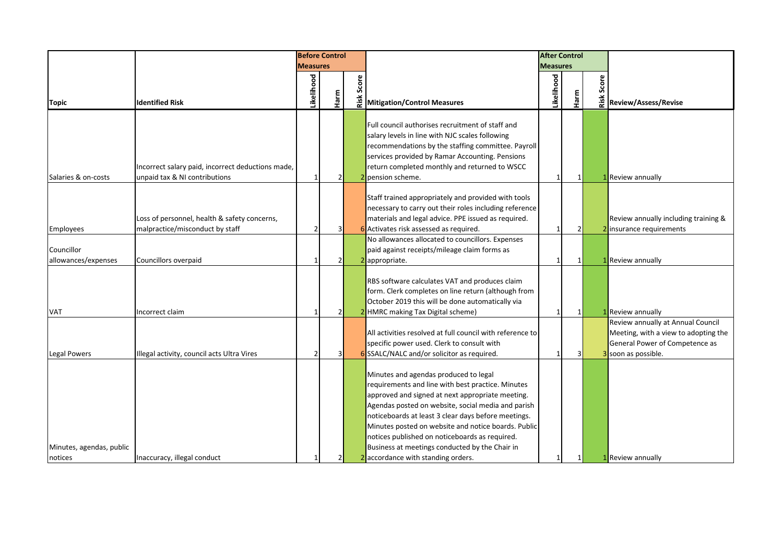|                                                            |                                                                                    | <b>Measures</b> | <b>Before Control</b> |               |                                                                                                                                                                                                                                                                                                                                                                                                                                                                                                            | <b>After Control</b><br><b>Measures</b> |      |               |                                                                                                                                                         |
|------------------------------------------------------------|------------------------------------------------------------------------------------|-----------------|-----------------------|---------------|------------------------------------------------------------------------------------------------------------------------------------------------------------------------------------------------------------------------------------------------------------------------------------------------------------------------------------------------------------------------------------------------------------------------------------------------------------------------------------------------------------|-----------------------------------------|------|---------------|---------------------------------------------------------------------------------------------------------------------------------------------------------|
| <b>Topic</b>                                               | <b>Identified Risk</b>                                                             | Likelihood      | Harm                  | Score<br>Risk | Mitigation/Control Measures                                                                                                                                                                                                                                                                                                                                                                                                                                                                                | Likelihood                              | Harm | Score<br>Risk | <b>Review/Assess/Revise</b>                                                                                                                             |
| Salaries & on-costs                                        | Incorrect salary paid, incorrect deductions made,<br>unpaid tax & NI contributions |                 |                       |               | Full council authorises recruitment of staff and<br>salary levels in line with NJC scales following<br>recommendations by the staffing committee. Payroll<br>services provided by Ramar Accounting. Pensions<br>return completed monthly and returned to WSCC<br>pension scheme.                                                                                                                                                                                                                           | -1                                      |      |               | 1 Review annually                                                                                                                                       |
| Employees                                                  | Loss of personnel, health & safety concerns,<br>malpractice/misconduct by staff    |                 |                       |               | Staff trained appropriately and provided with tools<br>necessary to carry out their roles including reference<br>materials and legal advice. PPE issued as required.<br>6 Activates risk assessed as required.<br>No allowances allocated to councillors. Expenses                                                                                                                                                                                                                                         | $\mathbf{1}$                            |      |               | Review annually including training &<br>2 insurance requirements                                                                                        |
| Councillor<br>allowances/expenses                          | Councillors overpaid                                                               |                 | 2                     |               | paid against receipts/mileage claim forms as<br>appropriate.                                                                                                                                                                                                                                                                                                                                                                                                                                               | $\mathbf{1}$                            |      |               | 1 Review annually                                                                                                                                       |
| <b>VAT</b>                                                 | Incorrect claim                                                                    |                 |                       |               | RBS software calculates VAT and produces claim<br>form. Clerk completes on line return (although from<br>October 2019 this will be done automatically via<br>HMRC making Tax Digital scheme)<br>All activities resolved at full council with reference to<br>specific power used. Clerk to consult with                                                                                                                                                                                                    | $\mathbf{1}$                            |      |               | 1 Review annually<br>Review annually at Annual Council<br>Meeting, with a view to adopting the<br>General Power of Competence as<br>3 soon as possible. |
| <b>Legal Powers</b><br>Minutes, agendas, public<br>notices | Illegal activity, council acts Ultra Vires<br>Inaccuracy, illegal conduct          |                 |                       |               | 6 SSALC/NALC and/or solicitor as required.<br>Minutes and agendas produced to legal<br>requirements and line with best practice. Minutes<br>approved and signed at next appropriate meeting.<br>Agendas posted on website, social media and parish<br>noticeboards at least 3 clear days before meetings.<br>Minutes posted on website and notice boards. Public<br>notices published on noticeboards as required.<br>Business at meetings conducted by the Chair in<br>2 accordance with standing orders. | $\mathbf{1}$<br>1                       |      |               | 1 Review annually                                                                                                                                       |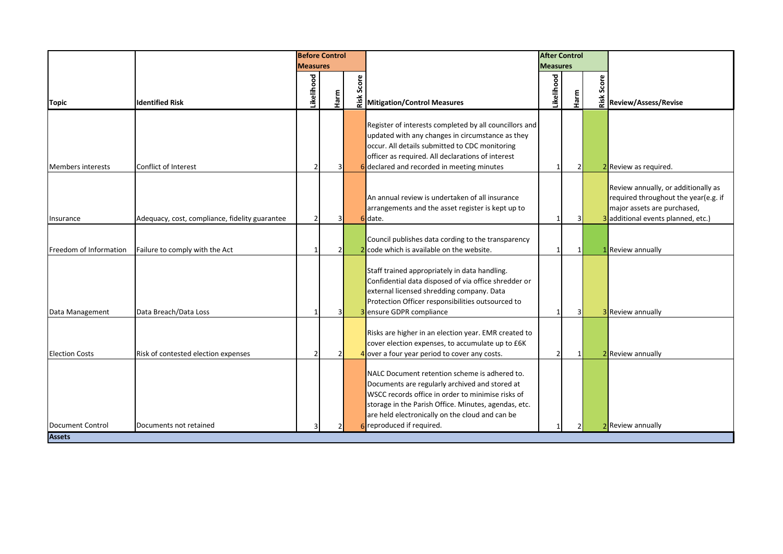|                                   |                                                |                 | <b>Before Control</b> |  |               |                                                                                                                                                                                                                                                                 |                 |                | <b>After Control</b> |               |                                                                                                                                                  |
|-----------------------------------|------------------------------------------------|-----------------|-----------------------|--|---------------|-----------------------------------------------------------------------------------------------------------------------------------------------------------------------------------------------------------------------------------------------------------------|-----------------|----------------|----------------------|---------------|--------------------------------------------------------------------------------------------------------------------------------------------------|
|                                   |                                                | <b>Measures</b> |                       |  |               |                                                                                                                                                                                                                                                                 | <b>Measures</b> |                |                      |               |                                                                                                                                                  |
| Topic                             | <b>Identified Risk</b>                         | Likelihood      | Harm                  |  | Score<br>Risk | Mitigation/Control Measures                                                                                                                                                                                                                                     |                 | Likelihood     | Harm                 | Score<br>Risk | <b>Review/Assess/Revise</b>                                                                                                                      |
| Members interests                 | Conflict of Interest                           |                 |                       |  |               | Register of interests completed by all councillors and<br>updated with any changes in circumstance as they<br>occur. All details submitted to CDC monitoring<br>officer as required. All declarations of interest<br>6 declared and recorded in meeting minutes |                 | $\mathbf{1}$   |                      |               | 2 Review as required.                                                                                                                            |
| Insurance                         | Adequacy, cost, compliance, fidelity guarantee |                 |                       |  |               | An annual review is undertaken of all insurance<br>arrangements and the asset register is kept up to<br>6 date.                                                                                                                                                 |                 | $\mathbf{1}$   |                      |               | Review annually, or additionally as<br>required throughout the year(e.g. if<br>major assets are purchased,<br>3 additional events planned, etc.) |
| Freedom of Information            | Failure to comply with the Act                 |                 |                       |  |               | Council publishes data cording to the transparency<br>code which is available on the website.                                                                                                                                                                   |                 | $\mathbf{1}$   |                      |               | 1 Review annually                                                                                                                                |
| Data Management                   | Data Breach/Data Loss                          |                 |                       |  |               | Staff trained appropriately in data handling.<br>Confidential data disposed of via office shredder or<br>external licensed shredding company. Data<br>Protection Officer responsibilities outsourced to<br>ensure GDPR compliance                               |                 | $\mathbf{1}$   |                      |               | <b>3</b> Review annually                                                                                                                         |
| <b>Election Costs</b>             | Risk of contested election expenses            |                 |                       |  |               | Risks are higher in an election year. EMR created to<br>cover election expenses, to accumulate up to £6K<br>over a four year period to cover any costs.                                                                                                         |                 | $\overline{2}$ |                      |               | 2 Review annually                                                                                                                                |
|                                   |                                                |                 |                       |  |               | NALC Document retention scheme is adhered to.<br>Documents are regularly archived and stored at<br>WSCC records office in order to minimise risks of<br>storage in the Parish Office. Minutes, agendas, etc.<br>are held electronically on the cloud and can be |                 |                |                      |               |                                                                                                                                                  |
| Document Control<br><b>Assets</b> | Documents not retained                         |                 |                       |  |               | 6 reproduced if required.                                                                                                                                                                                                                                       |                 | $\mathbf{1}$   |                      |               | 2 Review annually                                                                                                                                |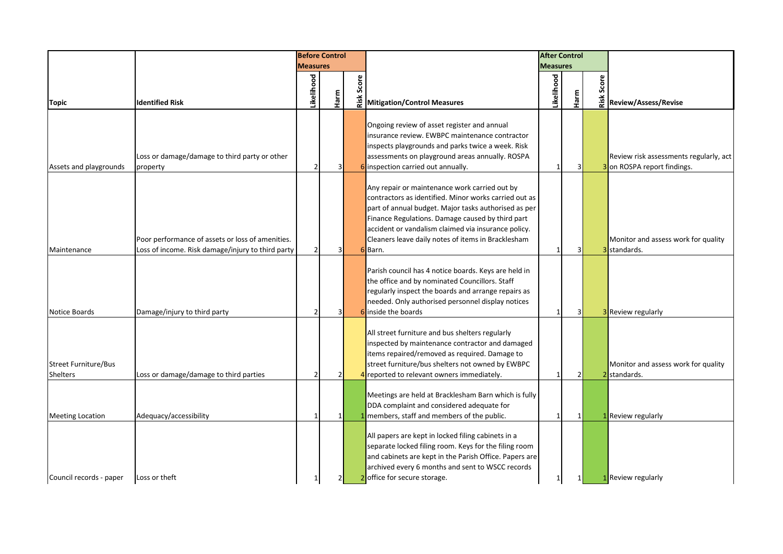|                                                |                                                                                                       | <b>Measures</b> | <b>Before Control</b> |               |                                                                                                                                                                                                                                                                                                                                            |  | <b>After Control</b><br><b>Measures</b> |                |               |                                                                       |  |
|------------------------------------------------|-------------------------------------------------------------------------------------------------------|-----------------|-----------------------|---------------|--------------------------------------------------------------------------------------------------------------------------------------------------------------------------------------------------------------------------------------------------------------------------------------------------------------------------------------------|--|-----------------------------------------|----------------|---------------|-----------------------------------------------------------------------|--|
| Topic                                          | <b>Identified Risk</b>                                                                                | Likelihood      | Harm                  | Score<br>Risk | <b>Mitigation/Control Measures</b>                                                                                                                                                                                                                                                                                                         |  | Likelihood                              | Harm           | Score<br>Risk | <b>Review/Assess/Revise</b>                                           |  |
| Assets and playgrounds                         | Loss or damage/damage to third party or other<br>property                                             |                 | 3                     |               | Ongoing review of asset register and annual<br>insurance review. EWBPC maintenance contractor<br>inspects playgrounds and parks twice a week. Risk<br>assessments on playground areas annually. ROSPA<br>6 inspection carried out annually.                                                                                                |  | $\mathbf 1$                             | $\overline{3}$ |               | Review risk assessments regularly, act<br>3 on ROSPA report findings. |  |
| Maintenance                                    | Poor performance of assets or loss of amenities.<br>Loss of income. Risk damage/injury to third party | $\mathcal{P}$   | $\overline{3}$        |               | Any repair or maintenance work carried out by<br>contractors as identified. Minor works carried out as<br>part of annual budget. Major tasks authorised as per<br>Finance Regulations. Damage caused by third part<br>accident or vandalism claimed via insurance policy.<br>Cleaners leave daily notes of items in Bracklesham<br>6 Barn. |  | $\mathbf{1}$                            | $\overline{3}$ |               | Monitor and assess work for quality<br>3 standards.                   |  |
| Notice Boards                                  | Damage/injury to third party                                                                          |                 | $\overline{3}$        |               | Parish council has 4 notice boards. Keys are held in<br>the office and by nominated Councillors. Staff<br>regularly inspect the boards and arrange repairs as<br>needed. Only authorised personnel display notices<br>6 inside the boards                                                                                                  |  | 1                                       | 3              |               | <b>3</b> Review regularly                                             |  |
| <b>Street Furniture/Bus</b><br><b>Shelters</b> | Loss or damage/damage to third parties                                                                |                 | 2                     |               | All street furniture and bus shelters regularly<br>inspected by maintenance contractor and damaged<br>items repaired/removed as required. Damage to<br>street furniture/bus shelters not owned by EWBPC<br>4 reported to relevant owners immediately.                                                                                      |  | -1                                      | $\overline{2}$ |               | Monitor and assess work for quality<br>2 standards.                   |  |
| <b>Meeting Location</b>                        | Adequacy/accessibility                                                                                |                 | 1                     |               | Meetings are held at Bracklesham Barn which is fully<br>DDA complaint and considered adequate for<br>members, staff and members of the public.                                                                                                                                                                                             |  | -1                                      | 1              |               | 1 Review regularly                                                    |  |
| Council records - paper                        | Loss or theft                                                                                         |                 | 2                     |               | All papers are kept in locked filing cabinets in a<br>separate locked filing room. Keys for the filing room<br>and cabinets are kept in the Parish Office. Papers are<br>archived every 6 months and sent to WSCC records<br>2 office for secure storage.                                                                                  |  | 1                                       | 1              |               | 1 Review regularly                                                    |  |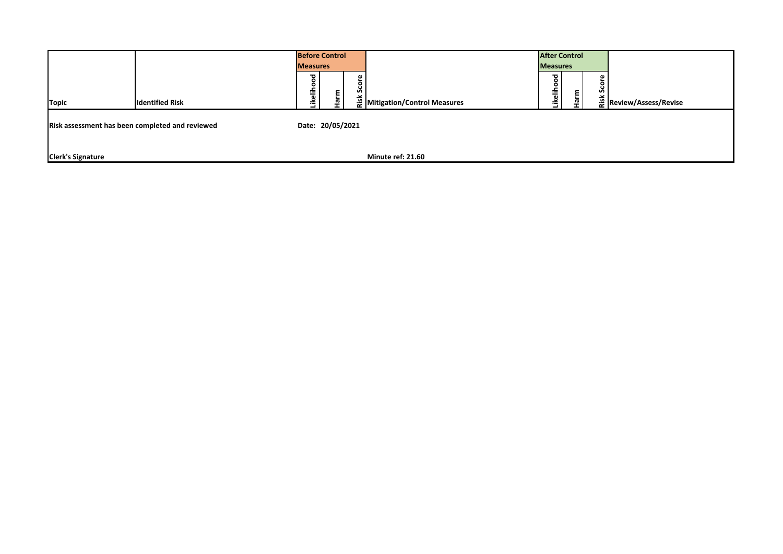|                                                 |                        | <b>Before Control</b><br><b>Measures</b>     |                                             | <b>After Control</b><br><b>Measures</b> |                       |                                     |
|-------------------------------------------------|------------------------|----------------------------------------------|---------------------------------------------|-----------------------------------------|-----------------------|-------------------------------------|
| Topic                                           | <b>Identified Risk</b> | ᅙ<br>$\circ$<br>Likeliho<br><b>S</b><br>1arm | $\frac{36}{12}$ Mitigation/Control Measures | ▿<br>Likeliho                           | Ō<br>mue <sub>t</sub> | $\frac{36}{8}$ Review/Assess/Revise |
| Risk assessment has been completed and reviewed |                        | Date: 20/05/2021                             |                                             |                                         |                       |                                     |
| <b>Clerk's Signature</b>                        |                        |                                              | Minute ref: 21.60                           |                                         |                       |                                     |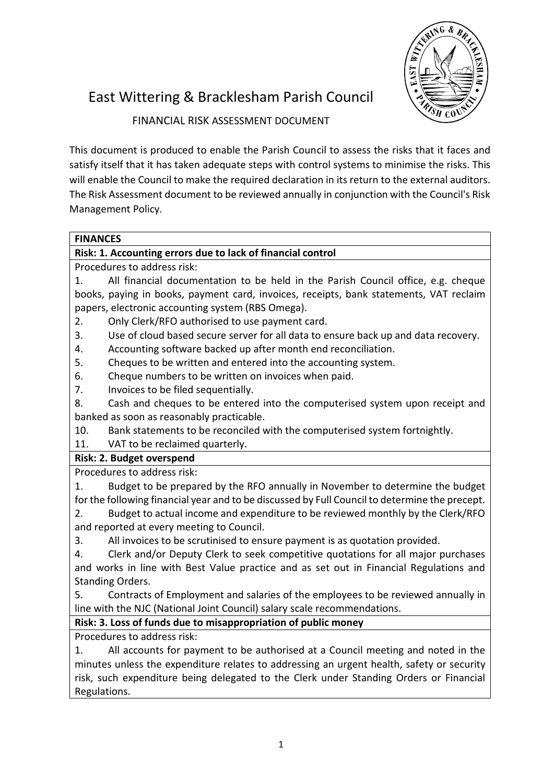

FINANCIAL RISK ASSESSMENT DOCUMENT

This document is produced to enable the Parish Council to assess the risks that it faces and satisfy itself that it has taken adequate steps with control systems to minimise the risks. This will enable the Council to make the required declaration in its return to the external auditors. The Risk Assessment document to be reviewed annually in conjunction with the Council's Risk Management Policy.

#### **FINANCES**

#### **Risk: 1. Accounting errors due to lack of financial control**

Procedures to address risk:

1. All financial documentation to be held in the Parish Council office, e.g. cheque books, paying in books, payment card, invoices, receipts, bank statements, VAT reclaim papers, electronic accounting system (RBS Omega).

- 2. Only Clerk/RFO authorised to use payment card.
- 3. Use of cloud based secure server for all data to ensure back up and data recovery.
- 4. Accounting software backed up after month end reconciliation.
- 5. Cheques to be written and entered into the accounting system.
- 6. Cheque numbers to be written on invoices when paid.
- 7. Invoices to be filed sequentially.

8. Cash and cheques to be entered into the computerised system upon receipt and banked as soon as reasonably practicable.

10. Bank statements to be reconciled with the computerised system fortnightly.

11. VAT to be reclaimed quarterly.

#### **Risk: 2. Budget overspend**

Procedures to address risk:

1. Budget to be prepared by the RFO annually in November to determine the budget for the following financial year and to be discussed by Full Council to determine the precept.

2. Budget to actual income and expenditure to be reviewed monthly by the Clerk/RFO and reported at every meeting to Council.

3. All invoices to be scrutinised to ensure payment is as quotation provided.

4. Clerk and/or Deputy Clerk to seek competitive quotations for all major purchases and works in line with Best Value practice and as set out in Financial Regulations and Standing Orders.

5. Contracts of Employment and salaries of the employees to be reviewed annually in line with the NJC (National Joint Council) salary scale recommendations.

#### **Risk: 3. Loss of funds due to misappropriation of public money**

Procedures to address risk:

1. All accounts for payment to be authorised at a Council meeting and noted in the minutes unless the expenditure relates to addressing an urgent health, safety or security risk, such expenditure being delegated to the Clerk under Standing Orders or Financial Regulations.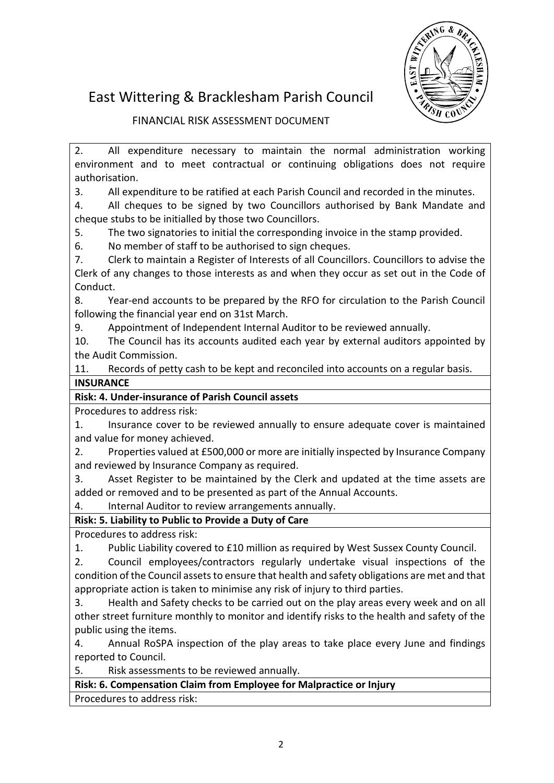

### FINANCIAL RISK ASSESSMENT DOCUMENT

2. All expenditure necessary to maintain the normal administration working environment and to meet contractual or continuing obligations does not require authorisation.

3. All expenditure to be ratified at each Parish Council and recorded in the minutes.

4. All cheques to be signed by two Councillors authorised by Bank Mandate and cheque stubs to be initialled by those two Councillors.

5. The two signatories to initial the corresponding invoice in the stamp provided.

6. No member of staff to be authorised to sign cheques.

7. Clerk to maintain a Register of Interests of all Councillors. Councillors to advise the Clerk of any changes to those interests as and when they occur as set out in the Code of Conduct.

8. Year-end accounts to be prepared by the RFO for circulation to the Parish Council following the financial year end on 31st March.

9. Appointment of Independent Internal Auditor to be reviewed annually.

10. The Council has its accounts audited each year by external auditors appointed by the Audit Commission.

11. Records of petty cash to be kept and reconciled into accounts on a regular basis. **INSURANCE** 

#### **Risk: 4. Under-insurance of Parish Council assets**

Procedures to address risk:

1. Insurance cover to be reviewed annually to ensure adequate cover is maintained and value for money achieved.

2. Properties valued at £500,000 or more are initially inspected by Insurance Company and reviewed by Insurance Company as required.

3. Asset Register to be maintained by the Clerk and updated at the time assets are added or removed and to be presented as part of the Annual Accounts.

4. Internal Auditor to review arrangements annually.

#### **Risk: 5. Liability to Public to Provide a Duty of Care**

Procedures to address risk:

1. Public Liability covered to £10 million as required by West Sussex County Council.

2. Council employees/contractors regularly undertake visual inspections of the condition of the Council assets to ensure that health and safety obligations are met and that appropriate action is taken to minimise any risk of injury to third parties.

3. Health and Safety checks to be carried out on the play areas every week and on all other street furniture monthly to monitor and identify risks to the health and safety of the public using the items.

4. Annual RoSPA inspection of the play areas to take place every June and findings reported to Council.

5. Risk assessments to be reviewed annually.

#### **Risk: 6. Compensation Claim from Employee for Malpractice or Injury**

Procedures to address risk: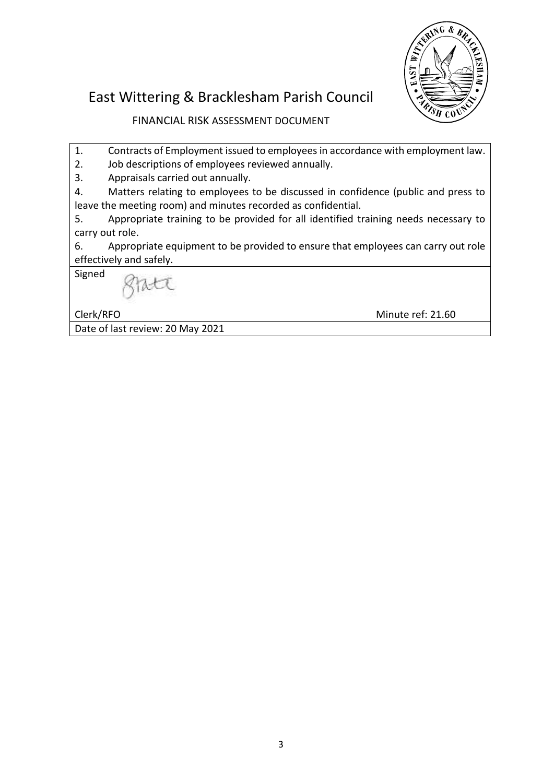

### FINANCIAL RISK ASSESSMENT DOCUMENT

1. Contracts of Employment issued to employees in accordance with employment law.

- 2. Job descriptions of employees reviewed annually.
- 3. Appraisals carried out annually.

4. Matters relating to employees to be discussed in confidence (public and press to leave the meeting room) and minutes recorded as confidential.

5. Appropriate training to be provided for all identified training needs necessary to carry out role.

6. Appropriate equipment to be provided to ensure that employees can carry out role effectively and safely.

Signed

Clerk/RFO Minute ref: 21.60

Date of last review: 20 May 2021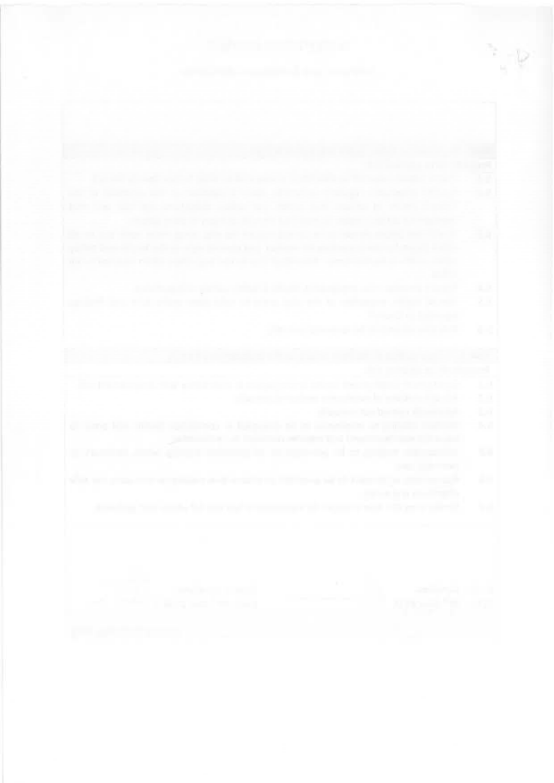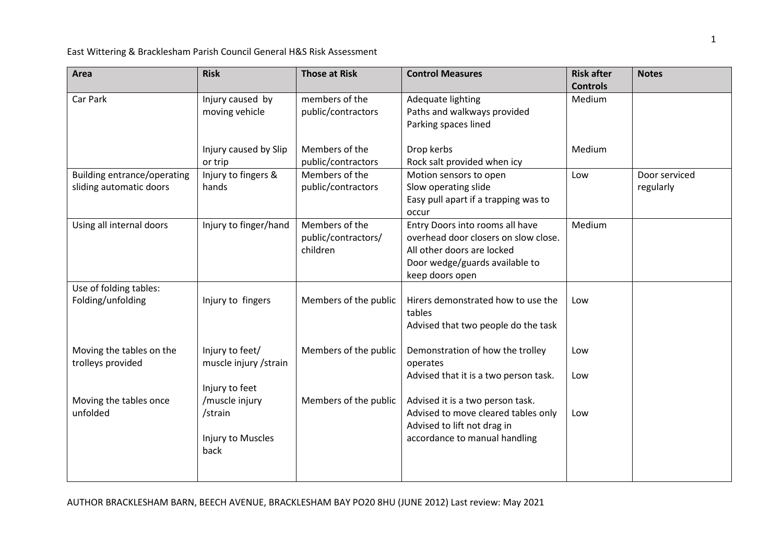| Area                               | <b>Risk</b>           | <b>Those at Risk</b>  | <b>Control Measures</b>               | <b>Risk after</b> | <b>Notes</b>  |
|------------------------------------|-----------------------|-----------------------|---------------------------------------|-------------------|---------------|
|                                    |                       |                       |                                       | <b>Controls</b>   |               |
| Car Park                           | Injury caused by      | members of the        | Adequate lighting                     | Medium            |               |
|                                    | moving vehicle        | public/contractors    | Paths and walkways provided           |                   |               |
|                                    |                       |                       | Parking spaces lined                  |                   |               |
|                                    |                       |                       |                                       |                   |               |
|                                    | Injury caused by Slip | Members of the        | Drop kerbs                            | Medium            |               |
|                                    | or trip               | public/contractors    | Rock salt provided when icy           |                   |               |
| <b>Building entrance/operating</b> | Injury to fingers &   | Members of the        | Motion sensors to open                | Low               | Door serviced |
| sliding automatic doors            | hands                 | public/contractors    | Slow operating slide                  |                   | regularly     |
|                                    |                       |                       | Easy pull apart if a trapping was to  |                   |               |
|                                    |                       |                       | occur                                 |                   |               |
| Using all internal doors           | Injury to finger/hand | Members of the        | Entry Doors into rooms all have       | Medium            |               |
|                                    |                       | public/contractors/   | overhead door closers on slow close.  |                   |               |
|                                    |                       | children              | All other doors are locked            |                   |               |
|                                    |                       |                       | Door wedge/guards available to        |                   |               |
|                                    |                       |                       | keep doors open                       |                   |               |
| Use of folding tables:             |                       |                       |                                       |                   |               |
| Folding/unfolding                  | Injury to fingers     | Members of the public | Hirers demonstrated how to use the    | Low               |               |
|                                    |                       |                       | tables                                |                   |               |
|                                    |                       |                       | Advised that two people do the task   |                   |               |
|                                    |                       |                       |                                       |                   |               |
| Moving the tables on the           | Injury to feet/       | Members of the public | Demonstration of how the trolley      | Low               |               |
| trolleys provided                  | muscle injury /strain |                       | operates                              |                   |               |
|                                    |                       |                       | Advised that it is a two person task. | Low               |               |
|                                    | Injury to feet        |                       |                                       |                   |               |
| Moving the tables once             | /muscle injury        | Members of the public | Advised it is a two person task.      |                   |               |
| unfolded                           | /strain               |                       | Advised to move cleared tables only   | Low               |               |
|                                    |                       |                       |                                       |                   |               |
|                                    |                       |                       | Advised to lift not drag in           |                   |               |
|                                    | Injury to Muscles     |                       | accordance to manual handling         |                   |               |
|                                    | back                  |                       |                                       |                   |               |
|                                    |                       |                       |                                       |                   |               |
|                                    |                       |                       |                                       |                   |               |

AUTHOR BRACKLESHAM BARN, BEECH AVENUE, BRACKLESHAM BAY PO20 8HU (JUNE 2012) Last review: May 2021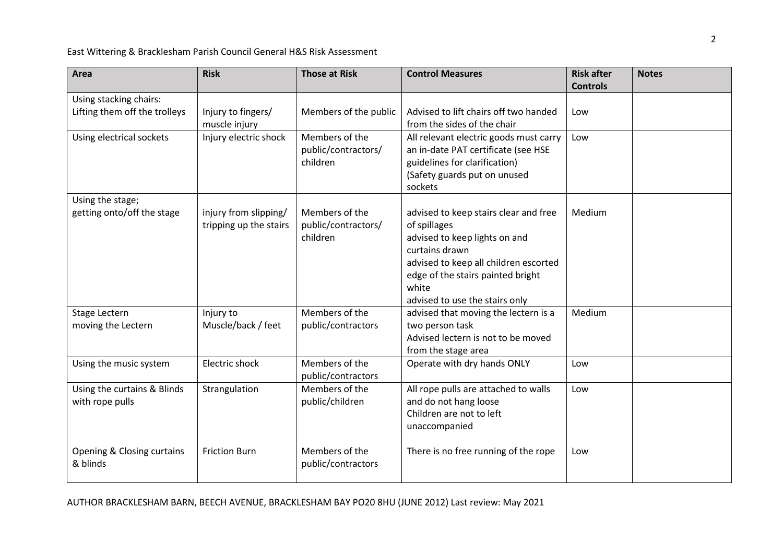| Area                                                    | <b>Risk</b>                                     | <b>Those at Risk</b>                              | <b>Control Measures</b>                                                                                                                                                                                                           | <b>Risk after</b> | <b>Notes</b> |
|---------------------------------------------------------|-------------------------------------------------|---------------------------------------------------|-----------------------------------------------------------------------------------------------------------------------------------------------------------------------------------------------------------------------------------|-------------------|--------------|
|                                                         |                                                 |                                                   |                                                                                                                                                                                                                                   | <b>Controls</b>   |              |
| Using stacking chairs:<br>Lifting them off the trolleys | Injury to fingers/<br>muscle injury             | Members of the public                             | Advised to lift chairs off two handed<br>from the sides of the chair                                                                                                                                                              | Low               |              |
| Using electrical sockets                                | Injury electric shock                           | Members of the<br>public/contractors/<br>children | All relevant electric goods must carry<br>an in-date PAT certificate (see HSE<br>guidelines for clarification)<br>(Safety guards put on unused<br>sockets                                                                         | Low               |              |
| Using the stage;<br>getting onto/off the stage          | injury from slipping/<br>tripping up the stairs | Members of the<br>public/contractors/<br>children | advised to keep stairs clear and free<br>of spillages<br>advised to keep lights on and<br>curtains drawn<br>advised to keep all children escorted<br>edge of the stairs painted bright<br>white<br>advised to use the stairs only | Medium            |              |
| Stage Lectern<br>moving the Lectern                     | Injury to<br>Muscle/back / feet                 | Members of the<br>public/contractors              | advised that moving the lectern is a<br>two person task<br>Advised lectern is not to be moved<br>from the stage area                                                                                                              | Medium            |              |
| Using the music system                                  | Electric shock                                  | Members of the<br>public/contractors              | Operate with dry hands ONLY                                                                                                                                                                                                       | Low               |              |
| Using the curtains & Blinds<br>with rope pulls          | Strangulation                                   | Members of the<br>public/children                 | All rope pulls are attached to walls<br>and do not hang loose<br>Children are not to left<br>unaccompanied                                                                                                                        | Low               |              |
| Opening & Closing curtains<br>& blinds                  | <b>Friction Burn</b>                            | Members of the<br>public/contractors              | There is no free running of the rope                                                                                                                                                                                              | Low               |              |

AUTHOR BRACKLESHAM BARN, BEECH AVENUE, BRACKLESHAM BAY PO20 8HU (JUNE 2012) Last review: May 2021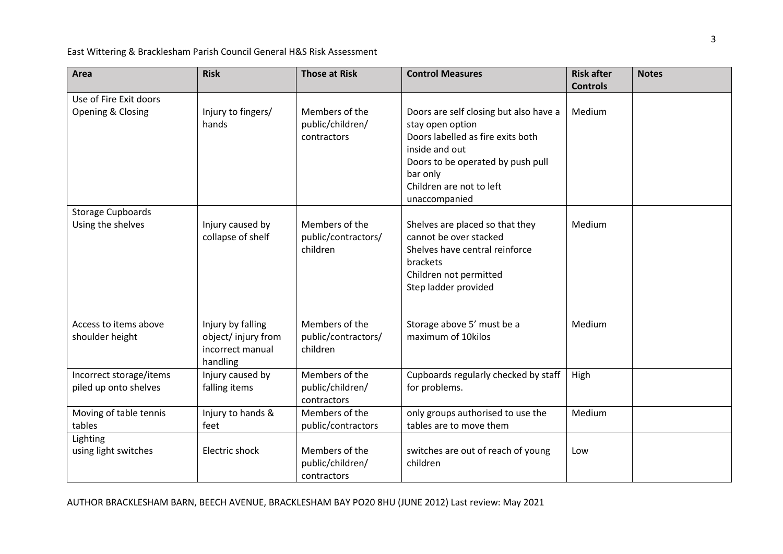| Area                                             | <b>Risk</b>                                                             | <b>Those at Risk</b>                              | <b>Control Measures</b>                                                                                                                                                                                         | <b>Risk after</b><br><b>Controls</b> | <b>Notes</b> |
|--------------------------------------------------|-------------------------------------------------------------------------|---------------------------------------------------|-----------------------------------------------------------------------------------------------------------------------------------------------------------------------------------------------------------------|--------------------------------------|--------------|
| Use of Fire Exit doors                           |                                                                         |                                                   |                                                                                                                                                                                                                 |                                      |              |
| Opening & Closing                                | Injury to fingers/<br>hands                                             | Members of the<br>public/children/<br>contractors | Doors are self closing but also have a<br>stay open option<br>Doors labelled as fire exits both<br>inside and out<br>Doors to be operated by push pull<br>bar only<br>Children are not to left<br>unaccompanied | Medium                               |              |
| <b>Storage Cupboards</b>                         |                                                                         |                                                   |                                                                                                                                                                                                                 |                                      |              |
| Using the shelves                                | Injury caused by<br>collapse of shelf                                   | Members of the<br>public/contractors/<br>children | Shelves are placed so that they<br>cannot be over stacked<br>Shelves have central reinforce<br>brackets<br>Children not permitted<br>Step ladder provided                                                       | Medium                               |              |
| Access to items above                            |                                                                         | Members of the                                    | Storage above 5' must be a                                                                                                                                                                                      | Medium                               |              |
| shoulder height                                  | Injury by falling<br>object/injury from<br>incorrect manual<br>handling | public/contractors/<br>children                   | maximum of 10kilos                                                                                                                                                                                              |                                      |              |
| Incorrect storage/items<br>piled up onto shelves | Injury caused by<br>falling items                                       | Members of the<br>public/children/<br>contractors | Cupboards regularly checked by staff<br>for problems.                                                                                                                                                           | High                                 |              |
| Moving of table tennis                           | Injury to hands &                                                       | Members of the                                    | only groups authorised to use the                                                                                                                                                                               | Medium                               |              |
| tables                                           | feet                                                                    | public/contractors                                | tables are to move them                                                                                                                                                                                         |                                      |              |
| Lighting<br>using light switches                 | Electric shock                                                          | Members of the<br>public/children/<br>contractors | switches are out of reach of young<br>children                                                                                                                                                                  | Low                                  |              |

AUTHOR BRACKLESHAM BARN, BEECH AVENUE, BRACKLESHAM BAY PO20 8HU (JUNE 2012) Last review: May 2021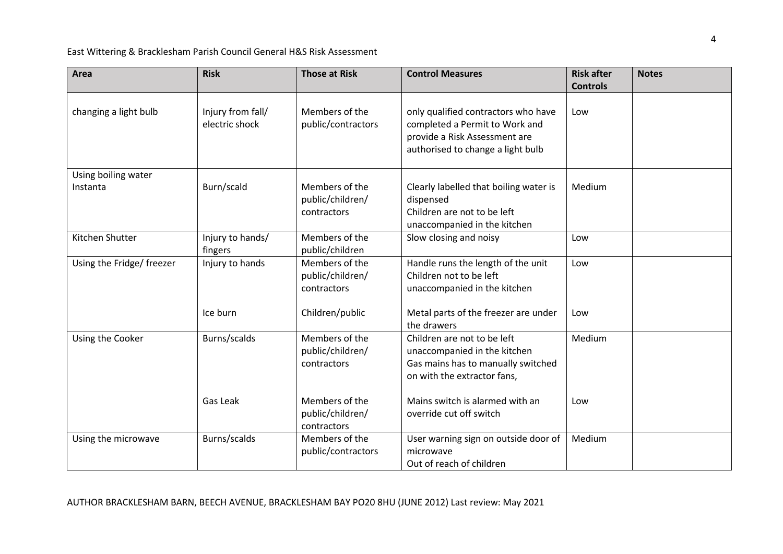| Area                            | <b>Risk</b>                         | <b>Those at Risk</b>                              | <b>Control Measures</b>                                                                                                                     | <b>Risk after</b><br><b>Controls</b> | <b>Notes</b> |
|---------------------------------|-------------------------------------|---------------------------------------------------|---------------------------------------------------------------------------------------------------------------------------------------------|--------------------------------------|--------------|
| changing a light bulb           | Injury from fall/<br>electric shock | Members of the<br>public/contractors              | only qualified contractors who have<br>completed a Permit to Work and<br>provide a Risk Assessment are<br>authorised to change a light bulb | Low                                  |              |
| Using boiling water<br>Instanta | Burn/scald                          | Members of the<br>public/children/<br>contractors | Clearly labelled that boiling water is<br>dispensed<br>Children are not to be left<br>unaccompanied in the kitchen                          | Medium                               |              |
| Kitchen Shutter                 | Injury to hands/<br>fingers         | Members of the<br>public/children                 | Slow closing and noisy                                                                                                                      | Low                                  |              |
| Using the Fridge/ freezer       | Injury to hands                     | Members of the<br>public/children/<br>contractors | Handle runs the length of the unit<br>Children not to be left<br>unaccompanied in the kitchen                                               | Low                                  |              |
|                                 | Ice burn                            | Children/public                                   | Metal parts of the freezer are under<br>the drawers                                                                                         | Low                                  |              |
| Using the Cooker                | Burns/scalds                        | Members of the<br>public/children/<br>contractors | Children are not to be left<br>unaccompanied in the kitchen<br>Gas mains has to manually switched<br>on with the extractor fans,            | Medium                               |              |
|                                 | Gas Leak                            | Members of the<br>public/children/<br>contractors | Mains switch is alarmed with an<br>override cut off switch                                                                                  | Low                                  |              |
| Using the microwave             | Burns/scalds                        | Members of the<br>public/contractors              | User warning sign on outside door of<br>microwave<br>Out of reach of children                                                               | Medium                               |              |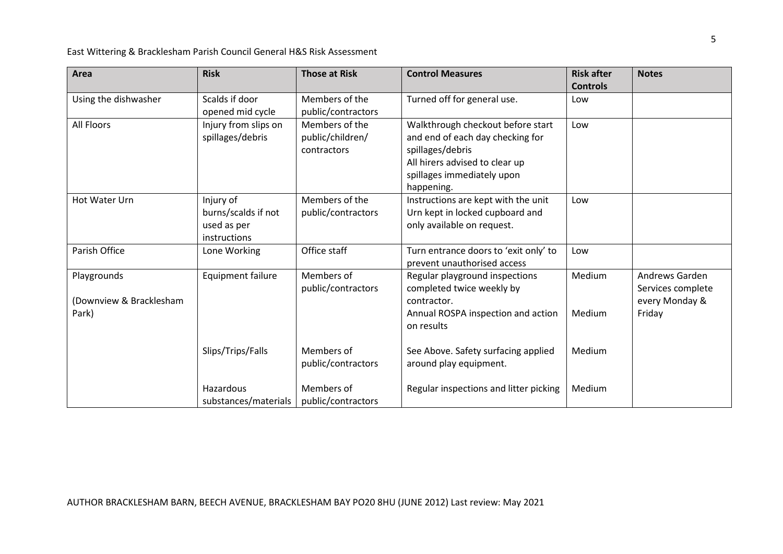| Area                                            | <b>Risk</b>                                                     | <b>Those at Risk</b>                              | <b>Control Measures</b>                                                                                                                                                 | <b>Risk after</b><br><b>Controls</b> | <b>Notes</b>                                                    |
|-------------------------------------------------|-----------------------------------------------------------------|---------------------------------------------------|-------------------------------------------------------------------------------------------------------------------------------------------------------------------------|--------------------------------------|-----------------------------------------------------------------|
| Using the dishwasher                            | Scalds if door<br>opened mid cycle                              | Members of the<br>public/contractors              | Turned off for general use.                                                                                                                                             | Low                                  |                                                                 |
| All Floors                                      | Injury from slips on<br>spillages/debris                        | Members of the<br>public/children/<br>contractors | Walkthrough checkout before start<br>and end of each day checking for<br>spillages/debris<br>All hirers advised to clear up<br>spillages immediately upon<br>happening. | Low                                  |                                                                 |
| Hot Water Urn                                   | Injury of<br>burns/scalds if not<br>used as per<br>instructions | Members of the<br>public/contractors              | Instructions are kept with the unit<br>Urn kept in locked cupboard and<br>only available on request.                                                                    | Low                                  |                                                                 |
| Parish Office                                   | Lone Working                                                    | Office staff                                      | Turn entrance doors to 'exit only' to<br>prevent unauthorised access                                                                                                    | Low                                  |                                                                 |
| Playgrounds<br>(Downview & Bracklesham<br>Park) | <b>Equipment failure</b>                                        | Members of<br>public/contractors                  | Regular playground inspections<br>completed twice weekly by<br>contractor.<br>Annual ROSPA inspection and action<br>on results                                          | Medium<br>Medium                     | Andrews Garden<br>Services complete<br>every Monday &<br>Friday |
|                                                 | Slips/Trips/Falls                                               | Members of<br>public/contractors                  | See Above. Safety surfacing applied<br>around play equipment.                                                                                                           | Medium                               |                                                                 |
|                                                 | Hazardous<br>substances/materials                               | Members of<br>public/contractors                  | Regular inspections and litter picking                                                                                                                                  | Medium                               |                                                                 |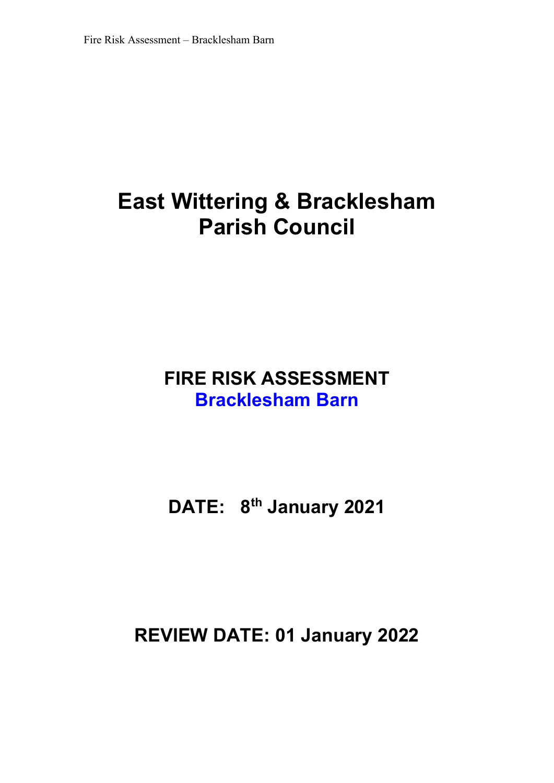# **FIRE RISK ASSESSMENT Bracklesham Barn**

**DATE: 8th January 2021** 

**REVIEW DATE: 01 January 2022**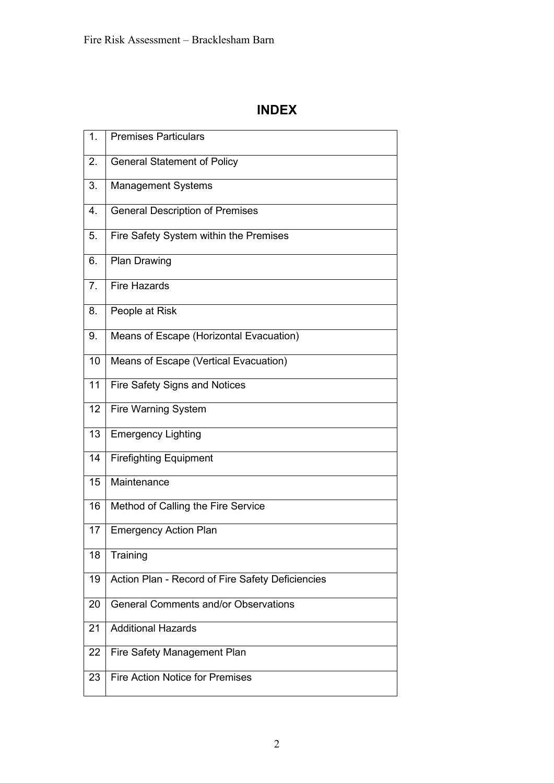# **INDEX**

| 1. | <b>Premises Particulars</b>                      |
|----|--------------------------------------------------|
| 2. | <b>General Statement of Policy</b>               |
| 3. | <b>Management Systems</b>                        |
| 4. | <b>General Description of Premises</b>           |
| 5. | Fire Safety System within the Premises           |
| 6. | <b>Plan Drawing</b>                              |
| 7. | <b>Fire Hazards</b>                              |
| 8. | People at Risk                                   |
| 9. | Means of Escape (Horizontal Evacuation)          |
| 10 | Means of Escape (Vertical Evacuation)            |
| 11 | <b>Fire Safety Signs and Notices</b>             |
| 12 | <b>Fire Warning System</b>                       |
| 13 | <b>Emergency Lighting</b>                        |
| 14 | <b>Firefighting Equipment</b>                    |
| 15 | Maintenance                                      |
| 16 | Method of Calling the Fire Service               |
| 17 | <b>Emergency Action Plan</b>                     |
| 18 | Training                                         |
| 19 | Action Plan - Record of Fire Safety Deficiencies |
| 20 | <b>General Comments and/or Observations</b>      |
| 21 | <b>Additional Hazards</b>                        |
| 22 | Fire Safety Management Plan                      |
| 23 | <b>Fire Action Notice for Premises</b>           |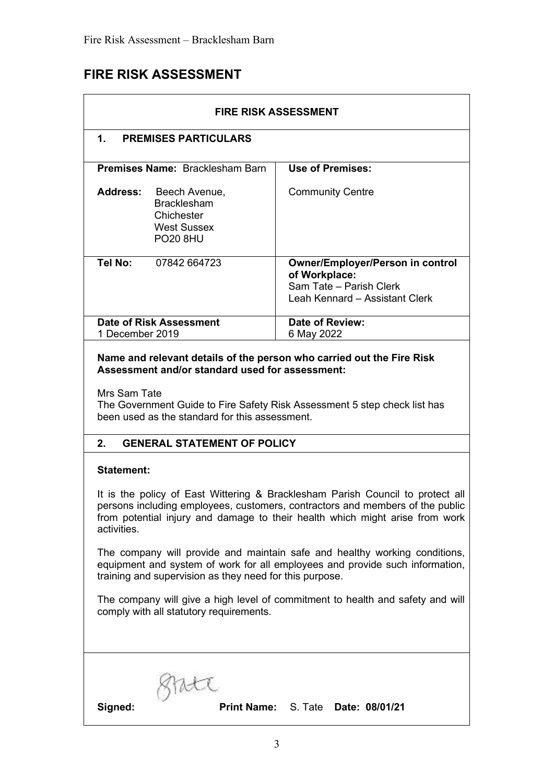# **FIRE RISK ASSESSMENT**

| <b>FIRE RISK ASSESSMENT</b>                                                                                                                                                                                                                                             |                                                                                                                                                                                                                                                                                                                                                                                                                                                                                                 |  |  |  |
|-------------------------------------------------------------------------------------------------------------------------------------------------------------------------------------------------------------------------------------------------------------------------|-------------------------------------------------------------------------------------------------------------------------------------------------------------------------------------------------------------------------------------------------------------------------------------------------------------------------------------------------------------------------------------------------------------------------------------------------------------------------------------------------|--|--|--|
| <b>PREMISES PARTICULARS</b><br>$1_{-}$                                                                                                                                                                                                                                  |                                                                                                                                                                                                                                                                                                                                                                                                                                                                                                 |  |  |  |
| Premises Name: Bracklesham Barn                                                                                                                                                                                                                                         | <b>Use of Premises:</b>                                                                                                                                                                                                                                                                                                                                                                                                                                                                         |  |  |  |
| <b>Address:</b><br>Beech Avenue,<br><b>Bracklesham</b><br>Chichester<br><b>West Sussex</b><br><b>PO20 8HU</b>                                                                                                                                                           | <b>Community Centre</b>                                                                                                                                                                                                                                                                                                                                                                                                                                                                         |  |  |  |
| Tel No:<br>07842 664723                                                                                                                                                                                                                                                 | <b>Owner/Employer/Person in control</b><br>of Workplace:<br>Sam Tate - Parish Clerk<br>Leah Kennard - Assistant Clerk                                                                                                                                                                                                                                                                                                                                                                           |  |  |  |
| <b>Date of Risk Assessment</b><br>1 December 2019                                                                                                                                                                                                                       | Date of Review:<br>6 May 2022                                                                                                                                                                                                                                                                                                                                                                                                                                                                   |  |  |  |
| Name and relevant details of the person who carried out the Fire Risk<br>Assessment and/or standard used for assessment:<br>Mrs Sam Tate<br>The Government Guide to Fire Safety Risk Assessment 5 step check list has<br>been used as the standard for this assessment. |                                                                                                                                                                                                                                                                                                                                                                                                                                                                                                 |  |  |  |
| <b>GENERAL STATEMENT OF POLICY</b><br>$2_{-}$                                                                                                                                                                                                                           |                                                                                                                                                                                                                                                                                                                                                                                                                                                                                                 |  |  |  |
| <b>Statement:</b><br>activities.<br>training and supervision as they need for this purpose.<br>comply with all statutory requirements.                                                                                                                                  | It is the policy of East Wittering & Bracklesham Parish Council to protect all<br>persons including employees, customers, contractors and members of the public<br>from potential injury and damage to their health which might arise from work<br>The company will provide and maintain safe and healthy working conditions,<br>equipment and system of work for all employees and provide such information,<br>The company will give a high level of commitment to health and safety and will |  |  |  |
|                                                                                                                                                                                                                                                                         |                                                                                                                                                                                                                                                                                                                                                                                                                                                                                                 |  |  |  |
| Signed:                                                                                                                                                                                                                                                                 | Print Name: S. Tate Date: 08/01/21                                                                                                                                                                                                                                                                                                                                                                                                                                                              |  |  |  |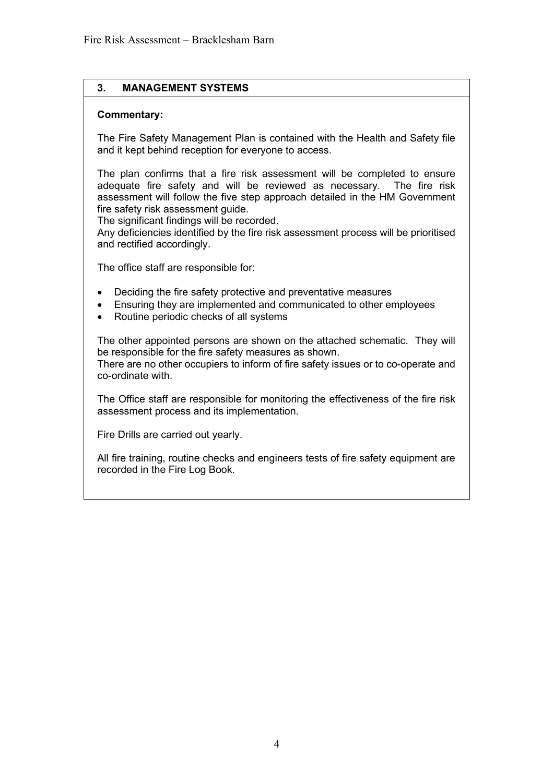#### **3. MANAGEMENT SYSTEMS**

#### **Commentary:**

The Fire Safety Management Plan is contained with the Health and Safety file and it kept behind reception for everyone to access.

The plan confirms that a fire risk assessment will be completed to ensure adequate fire safety and will be reviewed as necessary. The fire risk assessment will follow the five step approach detailed in the HM Government fire safety risk assessment guide.

The significant findings will be recorded.

Any deficiencies identified by the fire risk assessment process will be prioritised and rectified accordingly.

The office staff are responsible for:

- Deciding the fire safety protective and preventative measures
- Ensuring they are implemented and communicated to other employees
- Routine periodic checks of all systems

The other appointed persons are shown on the attached schematic. They will be responsible for the fire safety measures as shown.

There are no other occupiers to inform of fire safety issues or to co-operate and co-ordinate with.

The Office staff are responsible for monitoring the effectiveness of the fire risk assessment process and its implementation.

Fire Drills are carried out yearly.

All fire training, routine checks and engineers tests of fire safety equipment are recorded in the Fire Log Book.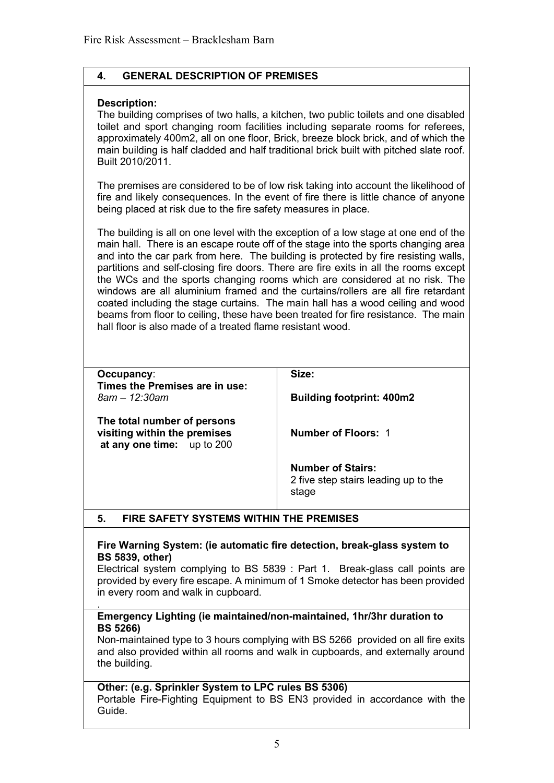#### **4. GENERAL DESCRIPTION OF PREMISES**

#### **Description:**

The building comprises of two halls, a kitchen, two public toilets and one disabled toilet and sport changing room facilities including separate rooms for referees, approximately 400m2, all on one floor, Brick, breeze block brick, and of which the main building is half cladded and half traditional brick built with pitched slate roof. Built 2010/2011.

The premises are considered to be of low risk taking into account the likelihood of fire and likely consequences. In the event of fire there is little chance of anyone being placed at risk due to the fire safety measures in place.

The building is all on one level with the exception of a low stage at one end of the main hall. There is an escape route off of the stage into the sports changing area and into the car park from here. The building is protected by fire resisting walls, partitions and self-closing fire doors. There are fire exits in all the rooms except the WCs and the sports changing rooms which are considered at no risk. The windows are all aluminium framed and the curtains/rollers are all fire retardant coated including the stage curtains. The main hall has a wood ceiling and wood beams from floor to ceiling, these have been treated for fire resistance. The main hall floor is also made of a treated flame resistant wood.

**Occupancy**: **Times the Premises are in use:**  *8am – 12:30am* 

**The total number of persons visiting within the premises at any one time:** up to 200

**Size:** 

**Building footprint: 400m2**

**Number of Floors:** 1

#### **Number of Stairs:**

2 five step stairs leading up to the stage

#### **5. FIRE SAFETY SYSTEMS WITHIN THE PREMISES**

#### **Fire Warning System: (ie automatic fire detection, break-glass system to BS 5839, other)**

Electrical system complying to BS 5839 : Part 1. Break-glass call points are provided by every fire escape. A minimum of 1 Smoke detector has been provided in every room and walk in cupboard.

#### . **Emergency Lighting (ie maintained/non-maintained, 1hr/3hr duration to BS 5266)**

Non-maintained type to 3 hours complying with BS 5266 provided on all fire exits and also provided within all rooms and walk in cupboards, and externally around the building.

#### **Other: (e.g. Sprinkler System to LPC rules BS 5306)**

Portable Fire-Fighting Equipment to BS EN3 provided in accordance with the Guide.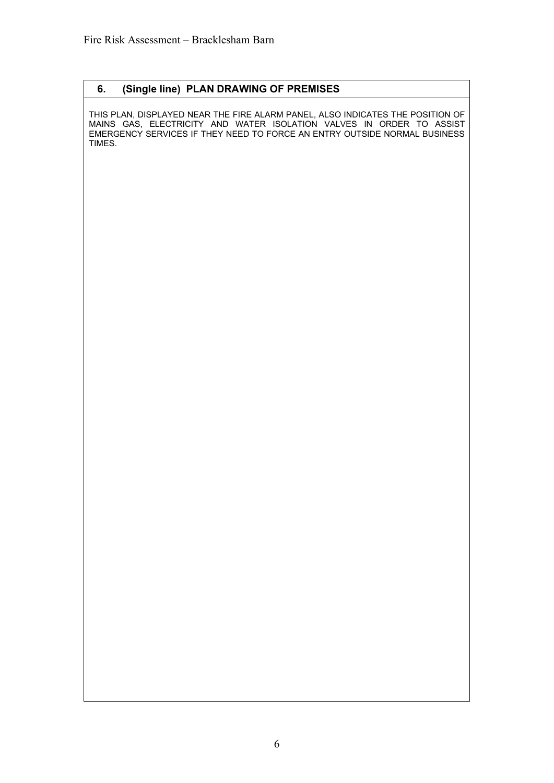#### **6. (Single line) PLAN DRAWING OF PREMISES**

THIS PLAN, DISPLAYED NEAR THE FIRE ALARM PANEL, ALSO INDICATES THE POSITION OF MAINS GAS, ELECTRICITY AND WATER ISOLATION VALVES IN ORDER TO ASSIST EMERGENCY SERVICES IF THEY NEED TO FORCE AN ENTRY OUTSIDE NORMAL BUSINESS TIMES.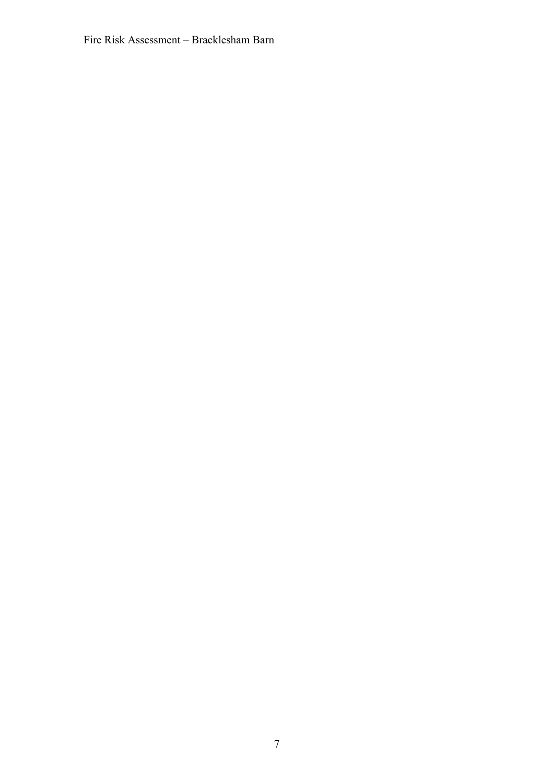Fire Risk Assessment – Bracklesham Barn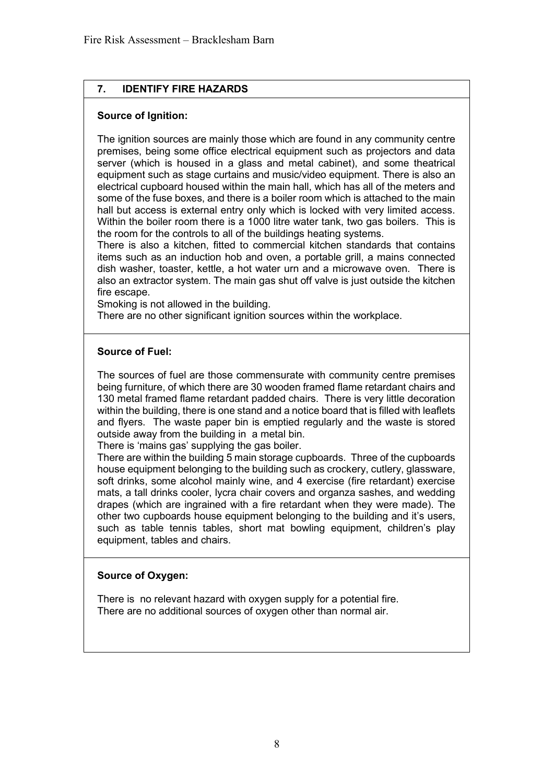#### **7. IDENTIFY FIRE HAZARDS**

#### **Source of Ignition:**

The ignition sources are mainly those which are found in any community centre premises, being some office electrical equipment such as projectors and data server (which is housed in a glass and metal cabinet), and some theatrical equipment such as stage curtains and music/video equipment. There is also an electrical cupboard housed within the main hall, which has all of the meters and some of the fuse boxes, and there is a boiler room which is attached to the main hall but access is external entry only which is locked with very limited access. Within the boiler room there is a 1000 litre water tank, two gas boilers. This is the room for the controls to all of the buildings heating systems.

There is also a kitchen, fitted to commercial kitchen standards that contains items such as an induction hob and oven, a portable grill, a mains connected dish washer, toaster, kettle, a hot water urn and a microwave oven. There is also an extractor system. The main gas shut off valve is just outside the kitchen fire escape.

Smoking is not allowed in the building.

There are no other significant ignition sources within the workplace.

#### **Source of Fuel:**

The sources of fuel are those commensurate with community centre premises being furniture, of which there are 30 wooden framed flame retardant chairs and 130 metal framed flame retardant padded chairs. There is very little decoration within the building, there is one stand and a notice board that is filled with leaflets and flyers. The waste paper bin is emptied regularly and the waste is stored outside away from the building in a metal bin.

There is 'mains gas' supplying the gas boiler.

There are within the building 5 main storage cupboards. Three of the cupboards house equipment belonging to the building such as crockery, cutlery, glassware, soft drinks, some alcohol mainly wine, and 4 exercise (fire retardant) exercise mats, a tall drinks cooler, lycra chair covers and organza sashes, and wedding drapes (which are ingrained with a fire retardant when they were made). The other two cupboards house equipment belonging to the building and it's users, such as table tennis tables, short mat bowling equipment, children's play equipment, tables and chairs.

#### **Source of Oxygen:**

There is no relevant hazard with oxygen supply for a potential fire. There are no additional sources of oxygen other than normal air.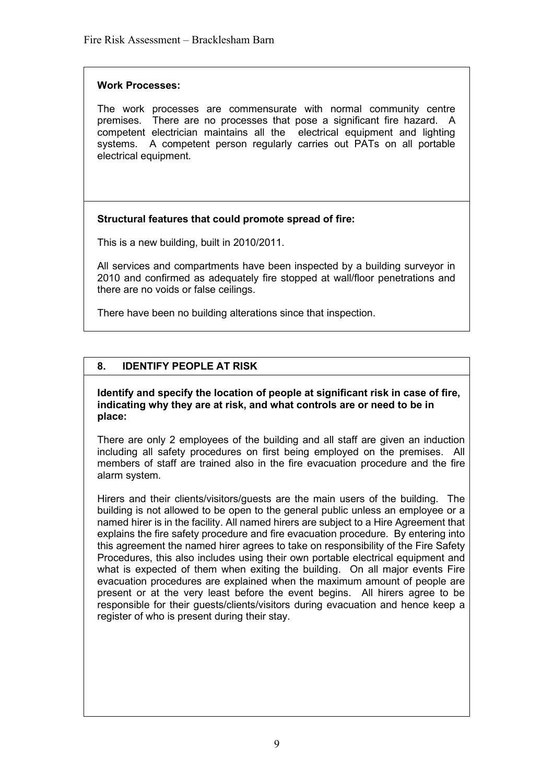#### **Work Processes:**

The work processes are commensurate with normal community centre premises. There are no processes that pose a significant fire hazard. A competent electrician maintains all the electrical equipment and lighting systems. A competent person regularly carries out PATs on all portable electrical equipment*.* 

#### **Structural features that could promote spread of fire:**

This is a new building, built in 2010/2011.

All services and compartments have been inspected by a building surveyor in 2010 and confirmed as adequately fire stopped at wall/floor penetrations and there are no voids or false ceilings.

There have been no building alterations since that inspection.

#### **8. IDENTIFY PEOPLE AT RISK**

**Identify and specify the location of people at significant risk in case of fire, indicating why they are at risk, and what controls are or need to be in place:** 

There are only 2 employees of the building and all staff are given an induction including all safety procedures on first being employed on the premises. All members of staff are trained also in the fire evacuation procedure and the fire alarm system.

Hirers and their clients/visitors/guests are the main users of the building. The building is not allowed to be open to the general public unless an employee or a named hirer is in the facility. All named hirers are subject to a Hire Agreement that explains the fire safety procedure and fire evacuation procedure. By entering into this agreement the named hirer agrees to take on responsibility of the Fire Safety Procedures, this also includes using their own portable electrical equipment and what is expected of them when exiting the building. On all major events Fire evacuation procedures are explained when the maximum amount of people are present or at the very least before the event begins. All hirers agree to be responsible for their guests/clients/visitors during evacuation and hence keep a register of who is present during their stay.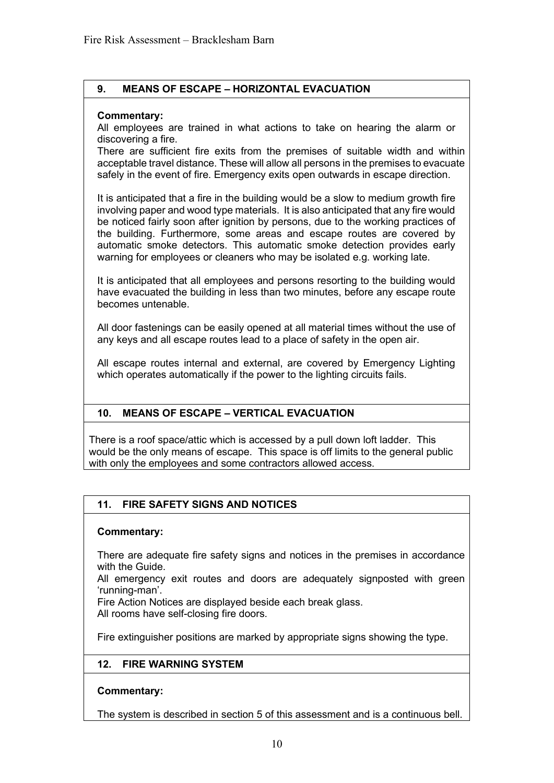#### **9. MEANS OF ESCAPE – HORIZONTAL EVACUATION**

#### **Commentary:**

All employees are trained in what actions to take on hearing the alarm or discovering a fire.

There are sufficient fire exits from the premises of suitable width and within acceptable travel distance. These will allow all persons in the premises to evacuate safely in the event of fire. Emergency exits open outwards in escape direction.

It is anticipated that a fire in the building would be a slow to medium growth fire involving paper and wood type materials. It is also anticipated that any fire would be noticed fairly soon after ignition by persons, due to the working practices of the building. Furthermore, some areas and escape routes are covered by automatic smoke detectors. This automatic smoke detection provides early warning for employees or cleaners who may be isolated e.g. working late.

It is anticipated that all employees and persons resorting to the building would have evacuated the building in less than two minutes, before any escape route becomes untenable.

All door fastenings can be easily opened at all material times without the use of any keys and all escape routes lead to a place of safety in the open air.

All escape routes internal and external, are covered by Emergency Lighting which operates automatically if the power to the lighting circuits fails.

#### **10. MEANS OF ESCAPE – VERTICAL EVACUATION**

There is a roof space/attic which is accessed by a pull down loft ladder. This would be the only means of escape. This space is off limits to the general public with only the employees and some contractors allowed access.

#### **11. FIRE SAFETY SIGNS AND NOTICES**

#### **Commentary:**

There are adequate fire safety signs and notices in the premises in accordance with the Guide.

All emergency exit routes and doors are adequately signposted with green 'running-man'.

Fire Action Notices are displayed beside each break glass.

All rooms have self-closing fire doors.

Fire extinguisher positions are marked by appropriate signs showing the type.

#### **12. FIRE WARNING SYSTEM**

#### **Commentary:**

The system is described in section 5 of this assessment and is a continuous bell.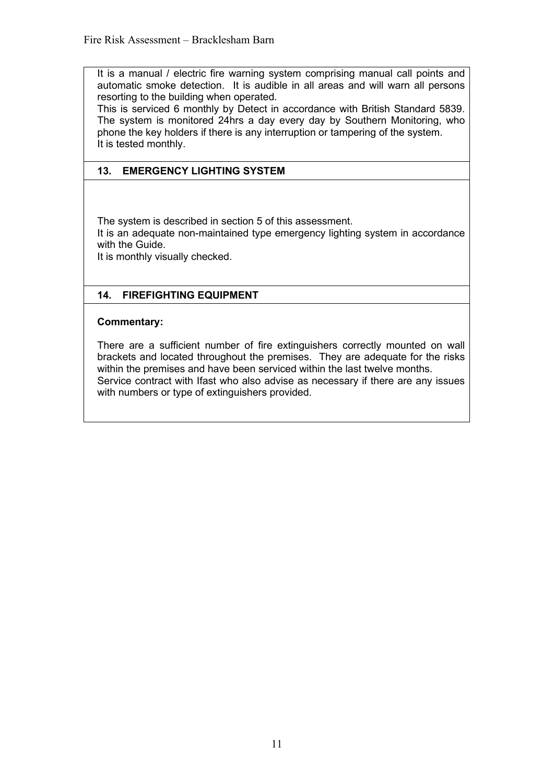It is a manual / electric fire warning system comprising manual call points and automatic smoke detection. It is audible in all areas and will warn all persons resorting to the building when operated.

This is serviced 6 monthly by Detect in accordance with British Standard 5839. The system is monitored 24hrs a day every day by Southern Monitoring, who phone the key holders if there is any interruption or tampering of the system. It is tested monthly.

#### **13. EMERGENCY LIGHTING SYSTEM**

The system is described in section 5 of this assessment.

It is an adequate non-maintained type emergency lighting system in accordance with the Guide.

It is monthly visually checked.

#### **14. FIREFIGHTING EQUIPMENT**

#### **Commentary:**

There are a sufficient number of fire extinguishers correctly mounted on wall brackets and located throughout the premises. They are adequate for the risks within the premises and have been serviced within the last twelve months. Service contract with Ifast who also advise as necessary if there are any issues with numbers or type of extinguishers provided.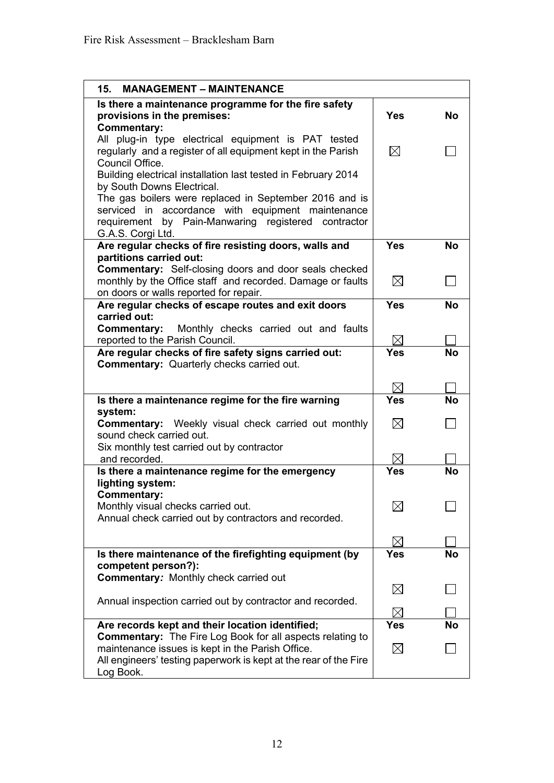| <b>MANAGEMENT - MAINTENANCE</b><br>15.                                                                                                                                                                |             |           |
|-------------------------------------------------------------------------------------------------------------------------------------------------------------------------------------------------------|-------------|-----------|
| Is there a maintenance programme for the fire safety<br>provisions in the premises:<br>Commentary:                                                                                                    | <b>Yes</b>  | <b>No</b> |
| All plug-in type electrical equipment is PAT tested<br>regularly and a register of all equipment kept in the Parish<br>Council Office.                                                                | $\boxtimes$ |           |
| Building electrical installation last tested in February 2014<br>by South Downs Electrical.                                                                                                           |             |           |
| The gas boilers were replaced in September 2016 and is<br>serviced in accordance with equipment maintenance<br>requirement by Pain-Manwaring registered contractor<br>G.A.S. Corgi Ltd.               |             |           |
| Are regular checks of fire resisting doors, walls and<br>partitions carried out:                                                                                                                      | <b>Yes</b>  | <b>No</b> |
| <b>Commentary:</b> Self-closing doors and door seals checked<br>monthly by the Office staff and recorded. Damage or faults<br>on doors or walls reported for repair.                                  | $\boxtimes$ |           |
| Are regular checks of escape routes and exit doors<br>carried out:                                                                                                                                    | <b>Yes</b>  | <b>No</b> |
| Monthly checks carried out and faults<br>Commentary:<br>reported to the Parish Council.                                                                                                               | $\boxtimes$ |           |
| Are regular checks of fire safety signs carried out:<br><b>Commentary:</b> Quarterly checks carried out.                                                                                              | Yes         | <b>No</b> |
|                                                                                                                                                                                                       | ⊠           |           |
| Is there a maintenance regime for the fire warning<br>system:                                                                                                                                         | Yes         | <b>No</b> |
| <b>Commentary:</b> Weekly visual check carried out monthly<br>sound check carried out.                                                                                                                | $\boxtimes$ |           |
| Six monthly test carried out by contractor<br>and recorded.                                                                                                                                           | $\boxtimes$ |           |
| Is there a maintenance regime for the emergency<br>lighting system:                                                                                                                                   | Yes         | <b>No</b> |
| <b>Commentary:</b><br>Monthly visual checks carried out.<br>Annual check carried out by contractors and recorded.                                                                                     | $\boxtimes$ |           |
|                                                                                                                                                                                                       |             |           |
| Is there maintenance of the firefighting equipment (by                                                                                                                                                | <b>Yes</b>  | <b>No</b> |
| competent person?):<br><b>Commentary: Monthly check carried out</b>                                                                                                                                   |             |           |
| Annual inspection carried out by contractor and recorded.                                                                                                                                             | ⊠           |           |
|                                                                                                                                                                                                       | $\times$    |           |
| Are records kept and their location identified;                                                                                                                                                       | <b>Yes</b>  | <b>No</b> |
| <b>Commentary:</b> The Fire Log Book for all aspects relating to<br>maintenance issues is kept in the Parish Office.<br>All engineers' testing paperwork is kept at the rear of the Fire<br>Log Book. | $\bowtie$   |           |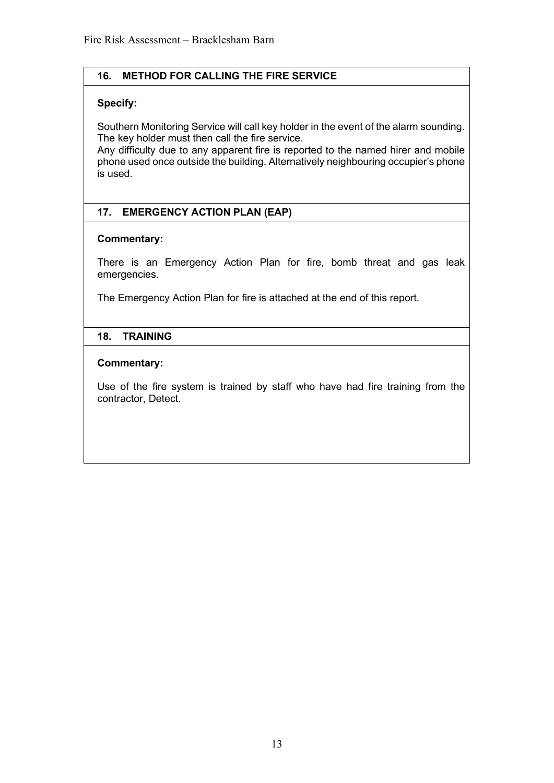#### **16. METHOD FOR CALLING THE FIRE SERVICE**

#### **Specify:**

Southern Monitoring Service will call key holder in the event of the alarm sounding. The key holder must then call the fire service.

Any difficulty due to any apparent fire is reported to the named hirer and mobile phone used once outside the building. Alternatively neighbouring occupier's phone is used.

#### **17. EMERGENCY ACTION PLAN (EAP)**

#### **Commentary:**

There is an Emergency Action Plan for fire, bomb threat and gas leak emergencies.

The Emergency Action Plan for fire is attached at the end of this report.

#### **18. TRAINING**

#### **Commentary:**

Use of the fire system is trained by staff who have had fire training from the contractor, Detect.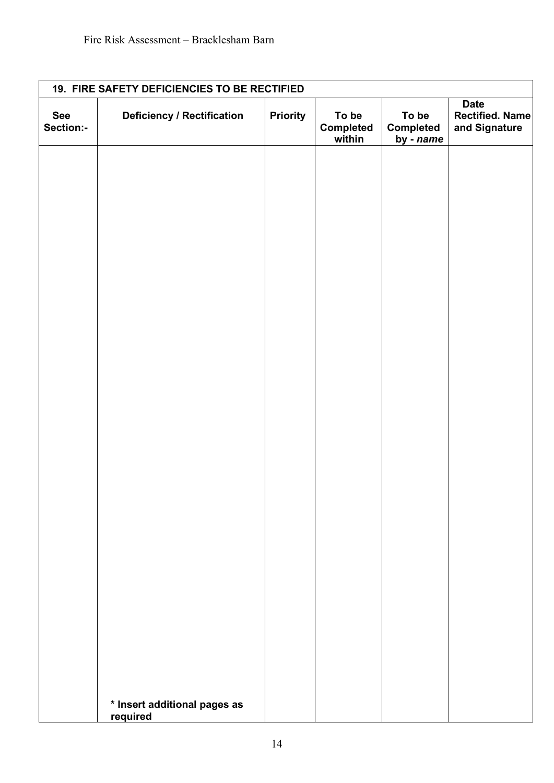|                         | 19. FIRE SAFETY DEFICIENCIES TO BE RECTIFIED |                 |                              |                                 |                                                 |  |  |
|-------------------------|----------------------------------------------|-----------------|------------------------------|---------------------------------|-------------------------------------------------|--|--|
| <b>See</b><br>Section:- | <b>Deficiency / Rectification</b>            | <b>Priority</b> | To be<br>Completed<br>within | To be<br>Completed<br>by - name | <b>Date</b><br>Rectified. Name<br>and Signature |  |  |
|                         |                                              |                 |                              |                                 |                                                 |  |  |
|                         |                                              |                 |                              |                                 |                                                 |  |  |
|                         |                                              |                 |                              |                                 |                                                 |  |  |
|                         |                                              |                 |                              |                                 |                                                 |  |  |
|                         |                                              |                 |                              |                                 |                                                 |  |  |
|                         |                                              |                 |                              |                                 |                                                 |  |  |
|                         |                                              |                 |                              |                                 |                                                 |  |  |
|                         |                                              |                 |                              |                                 |                                                 |  |  |
|                         |                                              |                 |                              |                                 |                                                 |  |  |
|                         |                                              |                 |                              |                                 |                                                 |  |  |
|                         |                                              |                 |                              |                                 |                                                 |  |  |
|                         |                                              |                 |                              |                                 |                                                 |  |  |
|                         |                                              |                 |                              |                                 |                                                 |  |  |
|                         |                                              |                 |                              |                                 |                                                 |  |  |
|                         |                                              |                 |                              |                                 |                                                 |  |  |
|                         |                                              |                 |                              |                                 |                                                 |  |  |
|                         |                                              |                 |                              |                                 |                                                 |  |  |
|                         |                                              |                 |                              |                                 |                                                 |  |  |
|                         |                                              |                 |                              |                                 |                                                 |  |  |
|                         | * Insert additional pages as                 |                 |                              |                                 |                                                 |  |  |
|                         | required                                     |                 |                              |                                 |                                                 |  |  |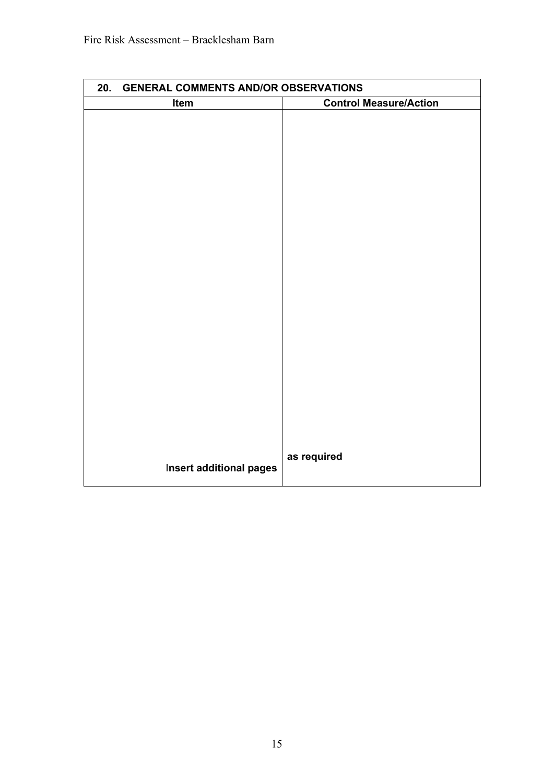| 20.<br><b>GENERAL COMMENTS AND/OR OBSERVATIONS</b> |                               |  |  |  |
|----------------------------------------------------|-------------------------------|--|--|--|
| Item                                               | <b>Control Measure/Action</b> |  |  |  |
|                                                    |                               |  |  |  |
|                                                    |                               |  |  |  |
|                                                    |                               |  |  |  |
|                                                    |                               |  |  |  |
|                                                    |                               |  |  |  |
|                                                    |                               |  |  |  |
|                                                    |                               |  |  |  |
|                                                    |                               |  |  |  |
|                                                    |                               |  |  |  |
|                                                    |                               |  |  |  |
|                                                    |                               |  |  |  |
|                                                    |                               |  |  |  |
|                                                    |                               |  |  |  |
|                                                    |                               |  |  |  |
|                                                    |                               |  |  |  |
|                                                    |                               |  |  |  |
|                                                    |                               |  |  |  |
|                                                    |                               |  |  |  |
|                                                    |                               |  |  |  |
|                                                    |                               |  |  |  |
|                                                    |                               |  |  |  |
|                                                    |                               |  |  |  |
|                                                    |                               |  |  |  |
|                                                    |                               |  |  |  |
|                                                    | as required                   |  |  |  |
| Insert additional pages                            |                               |  |  |  |
|                                                    |                               |  |  |  |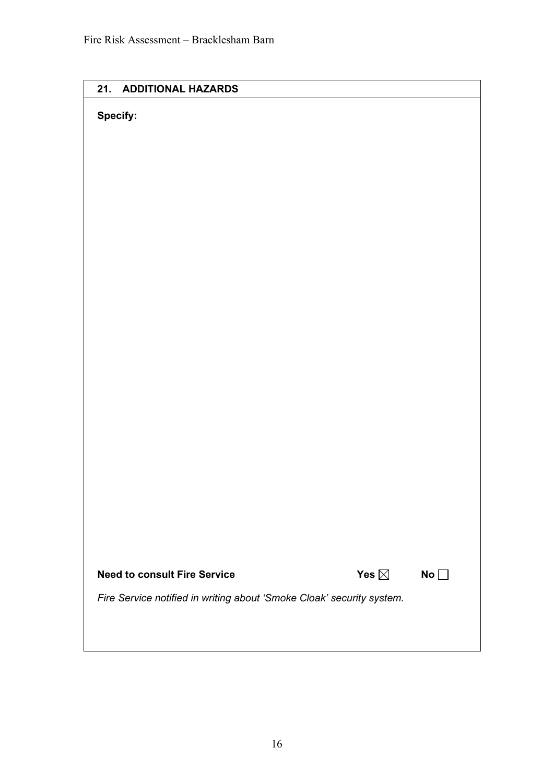### **21. ADDITIONAL HAZARDS**

### **Specify:**

| <b>Need to consult Fire Service</b>                                   | Yes $\boxtimes$ | No |  |  |  |
|-----------------------------------------------------------------------|-----------------|----|--|--|--|
| Fire Service notified in writing about 'Smoke Cloak' security system. |                 |    |  |  |  |
|                                                                       |                 |    |  |  |  |
|                                                                       |                 |    |  |  |  |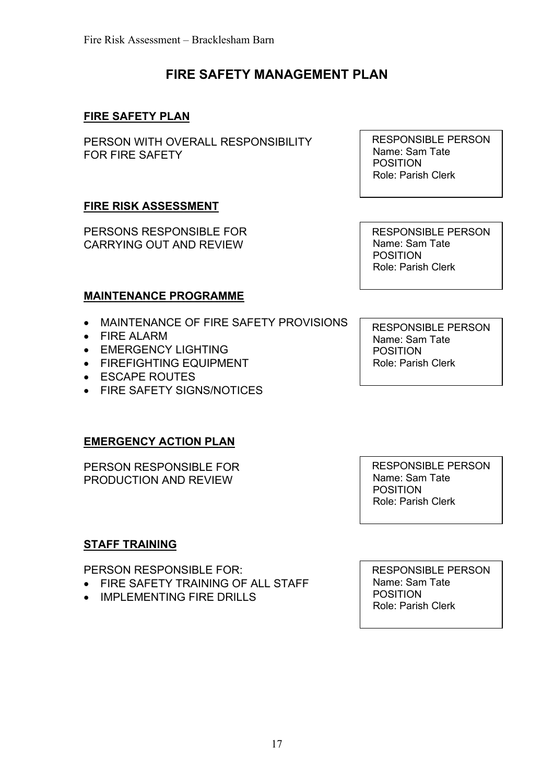## **FIRE SAFETY MANAGEMENT PLAN**

#### **FIRE SAFETY PLAN**

PERSON WITH OVERALL RESPONSIBILITY FOR FIRE SAFETY

### **FIRE RISK ASSESSMENT**

PERSONS RESPONSIBLE FOR CARRYING OUT AND REVIEW

#### **MAINTENANCE PROGRAMME**

- MAINTENANCE OF FIRE SAFETY PROVISIONS
- FIRE ALARM
- **EMERGENCY LIGHTING**
- FIREFIGHTING EQUIPMENT
- ESCAPE ROUTES
- FIRE SAFETY SIGNS/NOTICES

#### **EMERGENCY ACTION PLAN**

PERSON RESPONSIBLE FOR PRODUCTION AND REVIEW

RESPONSIBLE PERSON Name: Sam Tate POSITION Role: Parish Clerk

RESPONSIBLE PERSON Name: Sam Tate POSITION Role: Parish Clerk

RESPONSIBLE PERSON Name: Sam Tate POSITION Role: Parish Clerk

RESPONSIBLE PERSON Name: Sam Tate POSITION Role: Parish Clerk

#### **STAFF TRAINING**

PERSON RESPONSIBLE FOR:

- FIRE SAFETY TRAINING OF ALL STAFF
- IMPLEMENTING FIRE DRILLS

RESPONSIBLE PERSON Name: Sam Tate POSITION Role: Parish Clerk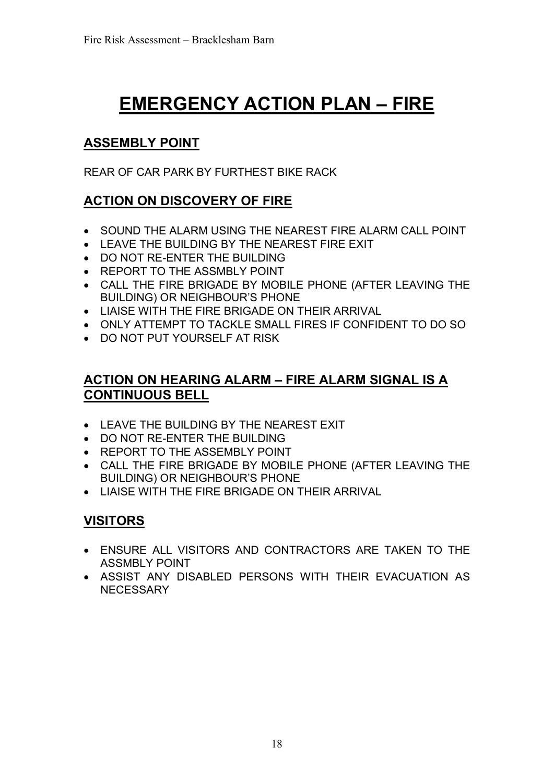# **EMERGENCY ACTION PLAN – FIRE**

## **ASSEMBLY POINT**

REAR OF CAR PARK BY FURTHEST BIKE RACK

## **ACTION ON DISCOVERY OF FIRE**

- SOUND THE ALARM USING THE NEAREST FIRE ALARM CALL POINT
- LEAVE THE BUILDING BY THE NEAREST FIRE EXIT
- DO NOT RE-ENTER THE BUILDING
- **REPORT TO THE ASSMBLY POINT**
- CALL THE FIRE BRIGADE BY MOBILE PHONE (AFTER LEAVING THE BUILDING) OR NEIGHBOUR'S PHONE
- LIAISE WITH THE FIRE BRIGADE ON THEIR ARRIVAL
- ONLY ATTEMPT TO TACKLE SMALL FIRES IF CONFIDENT TO DO SO
- DO NOT PUT YOURSELF AT RISK

### **ACTION ON HEARING ALARM – FIRE ALARM SIGNAL IS A CONTINUOUS BELL**

- LEAVE THE BUILDING BY THE NEAREST EXIT
- DO NOT RE-ENTER THE BUILDING
- REPORT TO THE ASSEMBLY POINT
- CALL THE FIRE BRIGADE BY MOBILE PHONE (AFTER LEAVING THE BUILDING) OR NEIGHBOUR'S PHONE
- LIAISE WITH THE FIRE BRIGADE ON THEIR ARRIVAL

# **VISITORS**

- ENSURE ALL VISITORS AND CONTRACTORS ARE TAKEN TO THE ASSMBLY POINT
- ASSIST ANY DISABLED PERSONS WITH THEIR EVACUATION AS **NECESSARY**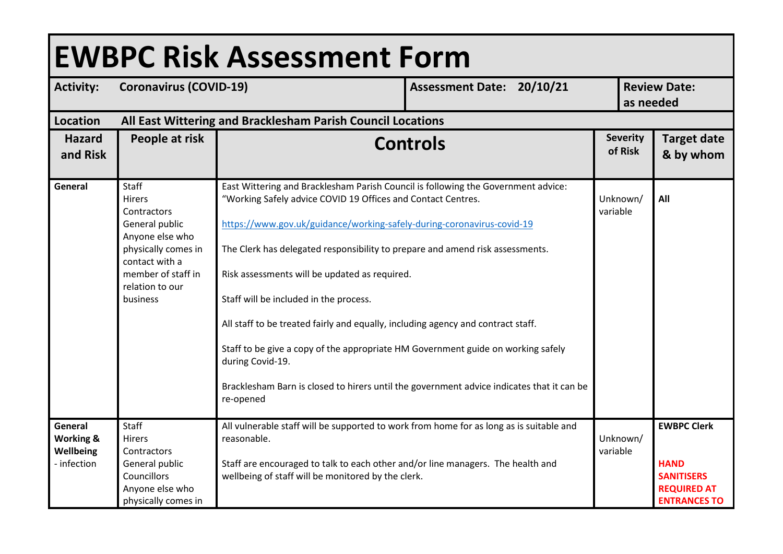|                                                                    | <b>EWBPC Risk Assessment Form</b>                                                                                                                                               |                                                                                                                                                                                                                                                                                                                                                                                                                                                                                                                                                                                                                  |                                                                                           |                            |                                                                                                     |  |
|--------------------------------------------------------------------|---------------------------------------------------------------------------------------------------------------------------------------------------------------------------------|------------------------------------------------------------------------------------------------------------------------------------------------------------------------------------------------------------------------------------------------------------------------------------------------------------------------------------------------------------------------------------------------------------------------------------------------------------------------------------------------------------------------------------------------------------------------------------------------------------------|-------------------------------------------------------------------------------------------|----------------------------|-----------------------------------------------------------------------------------------------------|--|
| <b>Activity:</b>                                                   | <b>Coronavirus (COVID-19)</b>                                                                                                                                                   |                                                                                                                                                                                                                                                                                                                                                                                                                                                                                                                                                                                                                  | Assessment Date: 20/10/21                                                                 | as needed                  | <b>Review Date:</b>                                                                                 |  |
| Location                                                           |                                                                                                                                                                                 | All East Wittering and Bracklesham Parish Council Locations                                                                                                                                                                                                                                                                                                                                                                                                                                                                                                                                                      |                                                                                           |                            |                                                                                                     |  |
| <b>Hazard</b><br>and Risk                                          | People at risk                                                                                                                                                                  |                                                                                                                                                                                                                                                                                                                                                                                                                                                                                                                                                                                                                  | <b>Controls</b>                                                                           | <b>Severity</b><br>of Risk | <b>Target date</b><br>& by whom                                                                     |  |
| General                                                            | <b>Staff</b><br><b>Hirers</b><br>Contractors<br>General public<br>Anyone else who<br>physically comes in<br>contact with a<br>member of staff in<br>relation to our<br>business | East Wittering and Bracklesham Parish Council is following the Government advice:<br>"Working Safely advice COVID 19 Offices and Contact Centres.<br>https://www.gov.uk/guidance/working-safely-during-coronavirus-covid-19<br>The Clerk has delegated responsibility to prepare and amend risk assessments.<br>Risk assessments will be updated as required.<br>Staff will be included in the process.<br>All staff to be treated fairly and equally, including agency and contract staff.<br>Staff to be give a copy of the appropriate HM Government guide on working safely<br>during Covid-19.<br>re-opened | Bracklesham Barn is closed to hirers until the government advice indicates that it can be | Unknown/<br>variable       | All                                                                                                 |  |
| General<br><b>Working &amp;</b><br><b>Wellbeing</b><br>- infection | Staff<br><b>Hirers</b><br>Contractors<br>General public<br>Councillors<br>Anyone else who<br>physically comes in                                                                | All vulnerable staff will be supported to work from home for as long as is suitable and<br>reasonable.<br>Staff are encouraged to talk to each other and/or line managers. The health and<br>wellbeing of staff will be monitored by the clerk.                                                                                                                                                                                                                                                                                                                                                                  |                                                                                           | Unknown/<br>variable       | <b>EWBPC Clerk</b><br><b>HAND</b><br><b>SANITISERS</b><br><b>REQUIRED AT</b><br><b>ENTRANCES TO</b> |  |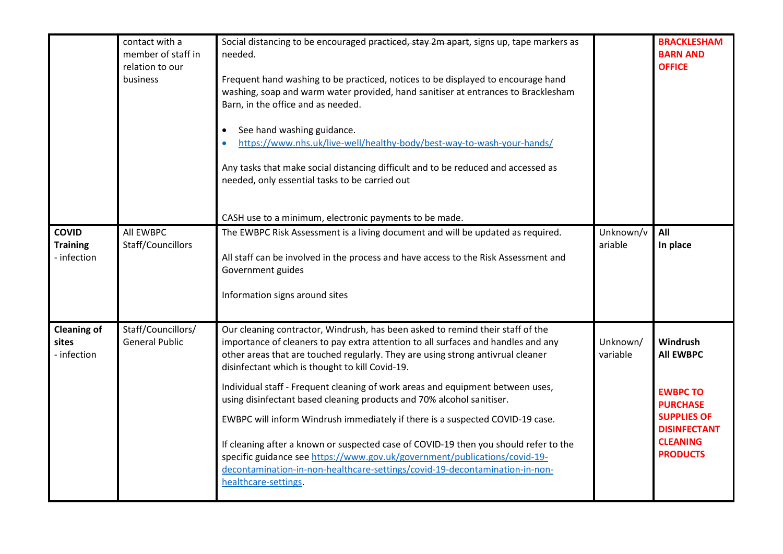|                                                | contact with a<br>member of staff in<br>relation to our<br>business | Social distancing to be encouraged practiced, stay 2m apart, signs up, tape markers as<br>needed.<br>Frequent hand washing to be practiced, notices to be displayed to encourage hand<br>washing, soap and warm water provided, hand sanitiser at entrances to Bracklesham<br>Barn, in the office and as needed.<br>See hand washing guidance.<br>$\bullet$<br>https://www.nhs.uk/live-well/healthy-body/best-way-to-wash-your-hands/<br>Any tasks that make social distancing difficult and to be reduced and accessed as<br>needed, only essential tasks to be carried out<br>CASH use to a minimum, electronic payments to be made.                                                                                                                                                                                             |                      | <b>BRACKLESHAM</b><br><b>BARN AND</b><br><b>OFFICE</b>                                                                                                |
|------------------------------------------------|---------------------------------------------------------------------|------------------------------------------------------------------------------------------------------------------------------------------------------------------------------------------------------------------------------------------------------------------------------------------------------------------------------------------------------------------------------------------------------------------------------------------------------------------------------------------------------------------------------------------------------------------------------------------------------------------------------------------------------------------------------------------------------------------------------------------------------------------------------------------------------------------------------------|----------------------|-------------------------------------------------------------------------------------------------------------------------------------------------------|
| <b>COVID</b><br><b>Training</b><br>- infection | All EWBPC<br>Staff/Councillors                                      | The EWBPC Risk Assessment is a living document and will be updated as required.<br>All staff can be involved in the process and have access to the Risk Assessment and<br>Government guides<br>Information signs around sites                                                                                                                                                                                                                                                                                                                                                                                                                                                                                                                                                                                                      | Unknown/v<br>ariable | All<br>In place                                                                                                                                       |
| <b>Cleaning of</b><br>sites<br>- infection     | Staff/Councillors/<br><b>General Public</b>                         | Our cleaning contractor, Windrush, has been asked to remind their staff of the<br>importance of cleaners to pay extra attention to all surfaces and handles and any<br>other areas that are touched regularly. They are using strong antivrual cleaner<br>disinfectant which is thought to kill Covid-19.<br>Individual staff - Frequent cleaning of work areas and equipment between uses,<br>using disinfectant based cleaning products and 70% alcohol sanitiser.<br>EWBPC will inform Windrush immediately if there is a suspected COVID-19 case.<br>If cleaning after a known or suspected case of COVID-19 then you should refer to the<br>specific guidance see https://www.gov.uk/government/publications/covid-19-<br>decontamination-in-non-healthcare-settings/covid-19-decontamination-in-non-<br>healthcare-settings. | Unknown/<br>variable | Windrush<br><b>All EWBPC</b><br><b>EWBPC TO</b><br><b>PURCHASE</b><br><b>SUPPLIES OF</b><br><b>DISINFECTANT</b><br><b>CLEANING</b><br><b>PRODUCTS</b> |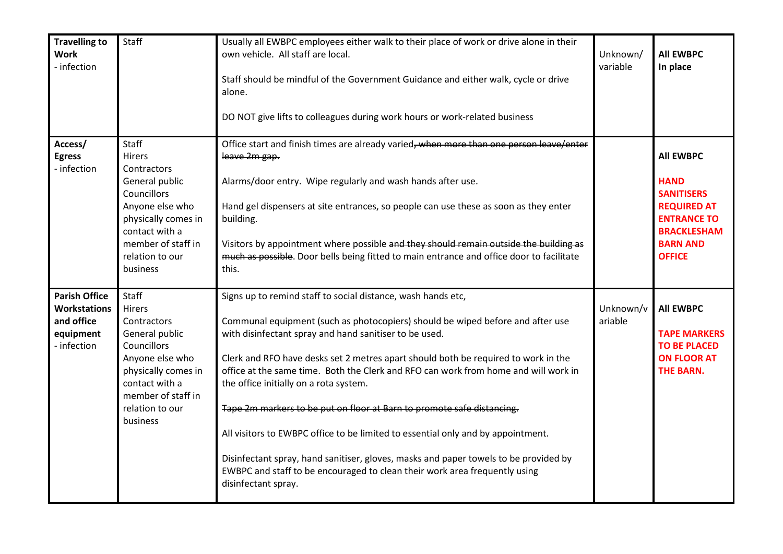| <b>Travelling to</b><br><b>Work</b><br>- infection                                    | Staff                                                                                                                                                                                   | Usually all EWBPC employees either walk to their place of work or drive alone in their<br>own vehicle. All staff are local.<br>Staff should be mindful of the Government Guidance and either walk, cycle or drive<br>alone.<br>DO NOT give lifts to colleagues during work hours or work-related business                                                                                                                                                                                                                                                                                                                                                                                                                                                                                  | Unknown/<br>variable | <b>All EWBPC</b><br>In place                                                                                                                               |
|---------------------------------------------------------------------------------------|-----------------------------------------------------------------------------------------------------------------------------------------------------------------------------------------|--------------------------------------------------------------------------------------------------------------------------------------------------------------------------------------------------------------------------------------------------------------------------------------------------------------------------------------------------------------------------------------------------------------------------------------------------------------------------------------------------------------------------------------------------------------------------------------------------------------------------------------------------------------------------------------------------------------------------------------------------------------------------------------------|----------------------|------------------------------------------------------------------------------------------------------------------------------------------------------------|
| Access/<br><b>Egress</b><br>- infection                                               | <b>Staff</b><br>Hirers<br>Contractors<br>General public<br>Councillors<br>Anyone else who<br>physically comes in<br>contact with a<br>member of staff in<br>relation to our<br>business | Office start and finish times are already varied, when more than one person leave/enter<br>leave 2m gap.<br>Alarms/door entry. Wipe regularly and wash hands after use.<br>Hand gel dispensers at site entrances, so people can use these as soon as they enter<br>building.<br>Visitors by appointment where possible and they should remain outside the building as<br>much as possible. Door bells being fitted to main entrance and office door to facilitate<br>this.                                                                                                                                                                                                                                                                                                                 |                      | <b>All EWBPC</b><br><b>HAND</b><br><b>SANITISERS</b><br><b>REQUIRED AT</b><br><b>ENTRANCE TO</b><br><b>BRACKLESHAM</b><br><b>BARN AND</b><br><b>OFFICE</b> |
| <b>Parish Office</b><br><b>Workstations</b><br>and office<br>equipment<br>- infection | Staff<br><b>Hirers</b><br>Contractors<br>General public<br>Councillors<br>Anyone else who<br>physically comes in<br>contact with a<br>member of staff in<br>relation to our<br>business | Signs up to remind staff to social distance, wash hands etc,<br>Communal equipment (such as photocopiers) should be wiped before and after use<br>with disinfectant spray and hand sanitiser to be used.<br>Clerk and RFO have desks set 2 metres apart should both be required to work in the<br>office at the same time. Both the Clerk and RFO can work from home and will work in<br>the office initially on a rota system.<br>Tape 2m markers to be put on floor at Barn to promote safe distancing.<br>All visitors to EWBPC office to be limited to essential only and by appointment.<br>Disinfectant spray, hand sanitiser, gloves, masks and paper towels to be provided by<br>EWBPC and staff to be encouraged to clean their work area frequently using<br>disinfectant spray. | Unknown/v<br>ariable | <b>All EWBPC</b><br><b>TAPE MARKERS</b><br><b>TO BE PLACED</b><br><b>ON FLOOR AT</b><br><b>THE BARN.</b>                                                   |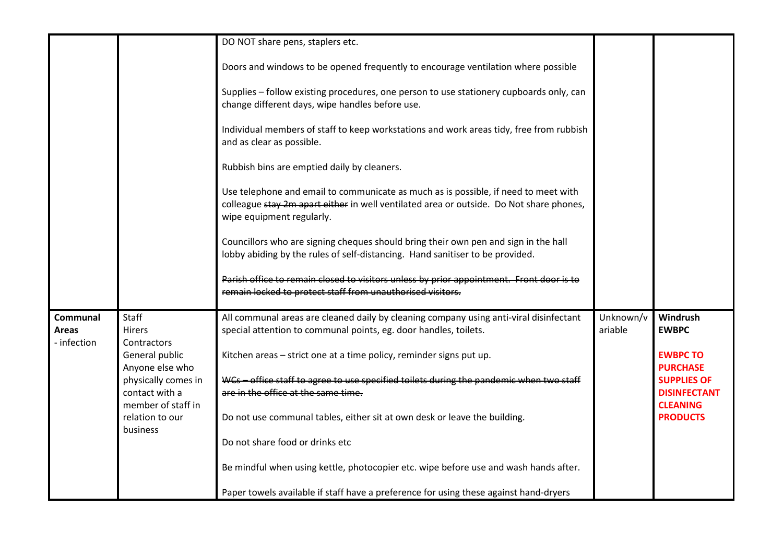|                                 |                                                   | DO NOT share pens, staplers etc.                                                                                                                                                                            |                      |                                    |
|---------------------------------|---------------------------------------------------|-------------------------------------------------------------------------------------------------------------------------------------------------------------------------------------------------------------|----------------------|------------------------------------|
|                                 |                                                   |                                                                                                                                                                                                             |                      |                                    |
|                                 |                                                   | Doors and windows to be opened frequently to encourage ventilation where possible                                                                                                                           |                      |                                    |
|                                 |                                                   | Supplies - follow existing procedures, one person to use stationery cupboards only, can<br>change different days, wipe handles before use.                                                                  |                      |                                    |
|                                 |                                                   | Individual members of staff to keep workstations and work areas tidy, free from rubbish<br>and as clear as possible.                                                                                        |                      |                                    |
|                                 |                                                   | Rubbish bins are emptied daily by cleaners.                                                                                                                                                                 |                      |                                    |
|                                 |                                                   | Use telephone and email to communicate as much as is possible, if need to meet with<br>colleague stay 2m apart either in well ventilated area or outside. Do Not share phones,<br>wipe equipment regularly. |                      |                                    |
|                                 |                                                   | Councillors who are signing cheques should bring their own pen and sign in the hall<br>lobby abiding by the rules of self-distancing. Hand sanitiser to be provided.                                        |                      |                                    |
|                                 |                                                   | Parish office to remain closed to visitors unless by prior appointment. Front door is to<br>remain locked to protect staff from unauthorised visitors.                                                      |                      |                                    |
| <b>Communal</b><br><b>Areas</b> | Staff<br>Hirers                                   | All communal areas are cleaned daily by cleaning company using anti-viral disinfectant<br>special attention to communal points, eg. door handles, toilets.                                                  | Unknown/v<br>ariable | Windrush<br><b>EWBPC</b>           |
| - infection                     | Contractors<br>General public<br>Anyone else who  | Kitchen areas - strict one at a time policy, reminder signs put up.                                                                                                                                         |                      | <b>EWBPC TO</b><br><b>PURCHASE</b> |
|                                 | physically comes in                               | WCs - office staff to agree to use specified toilets during the pandemic when two staff                                                                                                                     |                      | <b>SUPPLIES OF</b>                 |
|                                 | contact with a                                    | are in the office at the same time.                                                                                                                                                                         |                      | <b>DISINFECTANT</b>                |
|                                 | member of staff in<br>relation to our<br>business | Do not use communal tables, either sit at own desk or leave the building.                                                                                                                                   |                      | <b>CLEANING</b><br><b>PRODUCTS</b> |
|                                 |                                                   | Do not share food or drinks etc                                                                                                                                                                             |                      |                                    |
|                                 |                                                   | Be mindful when using kettle, photocopier etc. wipe before use and wash hands after.                                                                                                                        |                      |                                    |
|                                 |                                                   | Paper towels available if staff have a preference for using these against hand-dryers                                                                                                                       |                      |                                    |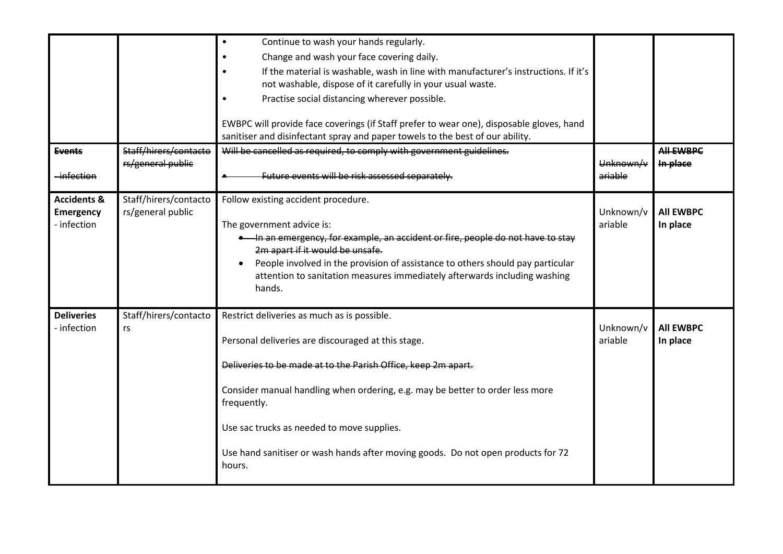| <b>Events</b><br><del>- infection</del>            | Staff/hirers/contacto<br>rs/general public | Continue to wash your hands regularly.<br>Change and wash your face covering daily.<br>If the material is washable, wash in line with manufacturer's instructions. If it's<br>not washable, dispose of it carefully in your usual waste.<br>Practise social distancing wherever possible.<br>EWBPC will provide face coverings (if Staff prefer to wear one), disposable gloves, hand<br>sanitiser and disinfectant spray and paper towels to the best of our ability.<br>Will be cancelled as required, to comply with government guidelines.<br>Future events will be risk assessed separately. | Unknown/v<br>ariable | <b>All EWBPC</b><br>In place |
|----------------------------------------------------|--------------------------------------------|---------------------------------------------------------------------------------------------------------------------------------------------------------------------------------------------------------------------------------------------------------------------------------------------------------------------------------------------------------------------------------------------------------------------------------------------------------------------------------------------------------------------------------------------------------------------------------------------------|----------------------|------------------------------|
| <b>Accidents &amp;</b><br>Emergency<br>- infection | Staff/hirers/contacto<br>rs/general public | Follow existing accident procedure.<br>The government advice is:<br>. In an emergency, for example, an accident or fire, people do not have to stay<br>2m apart if it would be unsafe.<br>People involved in the provision of assistance to others should pay particular<br>attention to sanitation measures immediately afterwards including washing<br>hands.                                                                                                                                                                                                                                   | Unknown/v<br>ariable | <b>All EWBPC</b><br>In place |
| <b>Deliveries</b><br>- infection                   | Staff/hirers/contacto<br>rs                | Restrict deliveries as much as is possible.<br>Personal deliveries are discouraged at this stage.<br>Deliveries to be made at to the Parish Office, keep 2m apart.<br>Consider manual handling when ordering, e.g. may be better to order less more<br>frequently.<br>Use sac trucks as needed to move supplies.<br>Use hand sanitiser or wash hands after moving goods. Do not open products for 72<br>hours.                                                                                                                                                                                    | Unknown/v<br>ariable | <b>All EWBPC</b><br>In place |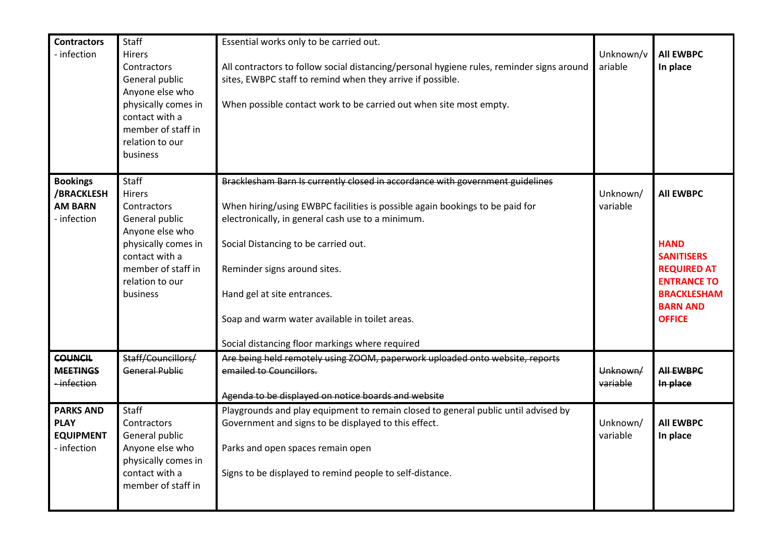| <b>Contractors</b><br>- infection                                  | <b>Staff</b><br><b>Hirers</b><br>Contractors<br>General public<br>Anyone else who<br>physically comes in<br>contact with a<br>member of staff in<br>relation to our<br>business | Essential works only to be carried out.<br>All contractors to follow social distancing/personal hygiene rules, reminder signs around<br>sites, EWBPC staff to remind when they arrive if possible.<br>When possible contact work to be carried out when site most empty.                                                                                                                                                       | Unknown/v<br>ariable | <b>All EWBPC</b><br>In place                                                                                                                               |
|--------------------------------------------------------------------|---------------------------------------------------------------------------------------------------------------------------------------------------------------------------------|--------------------------------------------------------------------------------------------------------------------------------------------------------------------------------------------------------------------------------------------------------------------------------------------------------------------------------------------------------------------------------------------------------------------------------|----------------------|------------------------------------------------------------------------------------------------------------------------------------------------------------|
| <b>Bookings</b><br>/BRACKLESH<br><b>AM BARN</b><br>- infection     | <b>Staff</b><br><b>Hirers</b><br>Contractors<br>General public<br>Anyone else who<br>physically comes in<br>contact with a<br>member of staff in<br>relation to our<br>business | Bracklesham Barn Is currently closed in accordance with government guidelines<br>When hiring/using EWBPC facilities is possible again bookings to be paid for<br>electronically, in general cash use to a minimum.<br>Social Distancing to be carried out.<br>Reminder signs around sites.<br>Hand gel at site entrances.<br>Soap and warm water available in toilet areas.<br>Social distancing floor markings where required | Unknown/<br>variable | <b>All EWBPC</b><br><b>HAND</b><br><b>SANITISERS</b><br><b>REQUIRED AT</b><br><b>ENTRANCE TO</b><br><b>BRACKLESHAM</b><br><b>BARN AND</b><br><b>OFFICE</b> |
| <b>COUNCIL</b><br><b>MEETINGS</b><br>infection                     | Staff/Councillors/<br><b>General Public</b>                                                                                                                                     | Are being held remotely using ZOOM, paperwork uploaded onto website, reports<br>emailed to Councillors.<br>Agenda to be displayed on notice boards and website                                                                                                                                                                                                                                                                 | Unknown/<br>variable | <b>All EWBPC</b><br>In place                                                                                                                               |
| <b>PARKS AND</b><br><b>PLAY</b><br><b>EQUIPMENT</b><br>- infection | <b>Staff</b><br>Contractors<br>General public<br>Anyone else who<br>physically comes in<br>contact with a<br>member of staff in                                                 | Playgrounds and play equipment to remain closed to general public until advised by<br>Government and signs to be displayed to this effect.<br>Parks and open spaces remain open<br>Signs to be displayed to remind people to self-distance.                                                                                                                                                                                    | Unknown/<br>variable | <b>All EWBPC</b><br>In place                                                                                                                               |